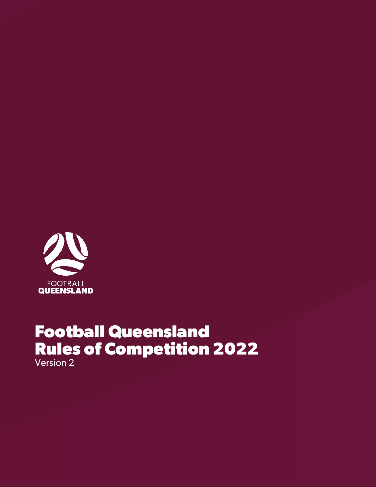

# **Football Queensland Rules of Competition 2022** Version 2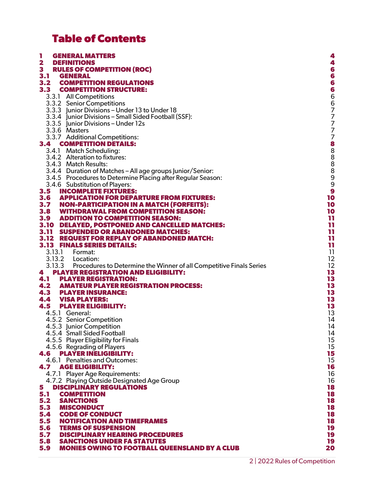# **Table of Contents**

| L<br><b>GENERAL MATTERS</b>                                                | 4                   |
|----------------------------------------------------------------------------|---------------------|
| $\overline{\mathbf{2}}$<br><b>DEFINITIONS</b>                              | 4                   |
| $\mathbf{3}$<br><b>RULES OF COMPETITION (ROC)</b>                          | 6                   |
| 3.1<br><b>GENERAL</b>                                                      | 6                   |
|                                                                            |                     |
| 3.2<br><b>COMPETITION REGULATIONS</b>                                      | $\ddot{\mathbf{6}}$ |
| 3.3<br><b>COMPETITION STRUCTURE:</b>                                       | 6                   |
| 3.3.1 All Competitions                                                     |                     |
| 3.3.2 Senior Competitions                                                  |                     |
| 3.3.3 Junior Divisions - Under 13 to Under 18                              |                     |
| 3.3.4 Junior Divisions - Small Sided Football (SSF):                       | 66777               |
|                                                                            |                     |
| 3.3.5 Junior Divisions - Under 12s                                         |                     |
| 3.3.6 Masters                                                              |                     |
| 3.3.7 Additional Competitions:                                             |                     |
| 3.4<br><b>COMPETITION DETAILS:</b>                                         |                     |
| 3.4.1 Match Scheduling:                                                    | 77888888            |
| 3.4.2 Alteration to fixtures:                                              |                     |
|                                                                            |                     |
| 3.4.3 Match Results:                                                       |                     |
| 3.4.4 Duration of Matches - All age groups Junior/Senior:                  |                     |
| 3.4.5 Procedures to Determine Placing after Regular Season:                | 9                   |
| 3.4.6 Substitution of Players:                                             | 9                   |
| 3.5<br><b>INCOMPLETE FIXTURES:</b>                                         | 9                   |
| 3.6 APPLICATION FOR DEPARTURE FROM FIXTURES:                               | 10                  |
| 3.7 NON-PARTICIPATION IN A MATCH (FORFEITS):                               | 10                  |
| 3.8 WITHDRAWAL FROM COMPETITION SEASON:                                    | 10                  |
|                                                                            |                     |
| 3.9 ADDITION TO COMPETITION SEASON:                                        | 11                  |
| 3.10 DELAYED, POSTPONED AND CANCELLED MATCHES:                             | 11                  |
| 3.11 SUSPENDED OR ABANDONED MATCHES:                                       | 11                  |
| 3.12 REQUEST FOR REPLAY OF ABANDONED MATCH:                                | 11                  |
| <b>3.13 FINALS SERIES DETAILS:</b>                                         | 11                  |
| 3.13.1 Format:                                                             | 11                  |
|                                                                            | 12                  |
| 3.13.3 Procedures to Determine the Winner of all Competitive Finals Series | 12                  |
| <b>PLAYER REGISTRATION AND ELIGIBILITY:</b>                                | 13                  |
| 4                                                                          |                     |
| 4.1<br><b>PLAYER REGISTRATION:</b>                                         | 13                  |
| 4.2<br><b>AMATEUR PLAYER REGISTRATION PROCESS:</b>                         | 13                  |
| <b>4.3 PLAYER INSURANCE:</b>                                               | 13                  |
| <b>4.4 VISA PLAYERS:</b>                                                   | 13                  |
| 4.5<br><b>PLAYER ELIGIBILITY:</b>                                          | 13                  |
| 4.5.1 General:                                                             | 13                  |
| 4.5.2 Senior Competition                                                   | 14                  |
| 4.5.3 Junior Competition                                                   | 14                  |
|                                                                            |                     |
| 4.5.4 Small Sided Football                                                 | 14                  |
| 4.5.5 Player Eligibility for Finals                                        | 15                  |
| 4.5.6 Regrading of Players                                                 | 15                  |
| 4.6<br><b>PLAYER INELIGIBILITY:</b>                                        | 15                  |
| 4.6.1 Penalties and Outcomes:                                              | 15                  |
| <b>4.7 AGE ELIGIBILITY:</b>                                                | 16                  |
| 4.7.1 Player Age Requirements:                                             | 16                  |
| 4.7.2 Playing Outside Designated Age Group                                 | 16                  |
|                                                                            | 18                  |
| 5<br><b>DISCIPLINARY REGULATIONS</b>                                       |                     |
| 5.1<br><b>COMPETITION</b>                                                  | 18                  |
| 5.2<br><b>SANCTIONS</b>                                                    | 18                  |
| 5.3<br><b>MISCONDUCT</b>                                                   | 18                  |
| 5.4<br><b>CODE OF CONDUCT</b>                                              | 18                  |
| 5.5<br><b>NOTIFICATION AND TIMEFRAMES</b>                                  | 18                  |
| 5.6<br><b>TERMS OF SUSPENSION</b>                                          | 19                  |
| 5.7<br><b>DISCIPLINARY HEARING PROCEDURES</b>                              | 19                  |
| 5.8<br><b>SANCTIONS UNDER FA STATUTES</b>                                  | 19                  |
|                                                                            |                     |
| 5.9<br><b>MONIES OWING TO FOOTBALL QUEENSLAND BY A CLUB</b>                | 20                  |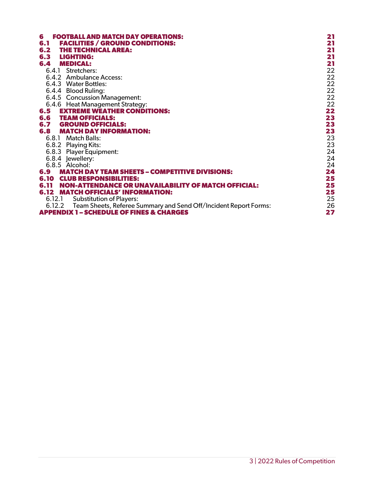| 6<br><b>FOOTBALL AND MATCH DAY OPERATIONS:</b>                          | 21 |
|-------------------------------------------------------------------------|----|
| <b>FACILITIES / GROUND CONDITIONS:</b><br>6.1                           | 21 |
| <b>THE TECHNICAL AREA:</b><br>6.2                                       | 21 |
| 6.3 LIGHTING:                                                           | 21 |
| <b>6.4 MEDICAL:</b>                                                     | 21 |
| 6.4.1 Stretchers:                                                       | 22 |
| 6.4.2 Ambulance Access:                                                 | 22 |
| 6.4.3 Water Bottles:                                                    | 22 |
| 6.4.4 Blood Ruling:                                                     | 22 |
| 6.4.5 Concussion Management:                                            | 22 |
| 6.4.6 Heat Management Strategy:                                         | 22 |
| <b>EXTREME WEATHER CONDITIONS:</b><br>6.5                               | 22 |
| <b>6.6 TEAM OFFICIALS:</b>                                              | 23 |
| <b>6.7 GROUND OFFICIALS:</b>                                            | 23 |
| <b>6.8 MATCH DAY INFORMATION:</b>                                       | 23 |
| 6.8.1 Match Balls:                                                      | 23 |
| 6.8.2 Playing Kits:                                                     | 23 |
| 6.8.3 Player Equipment:                                                 | 24 |
| 6.8.4 lewellery:                                                        | 24 |
| 6.8.5 Alcohol:                                                          | 24 |
| 6.9 MATCH DAY TEAM SHEETS – COMPETITIVE DIVISIONS:                      | 24 |
| <b>6.10 CLUB RESPONSIBILITIES:</b>                                      | 25 |
| <b>6.11 NON-ATTENDANCE OR UNAVAILABILITY OF MATCH OFFICIAL:</b>         | 25 |
| <b>6.12 MATCH OFFICIALS' INFORMATION:</b>                               | 25 |
| 6.12.1 Substitution of Players:                                         | 25 |
| 6.12.2 Team Sheets, Referee Summary and Send Off/Incident Report Forms: | 26 |
| <b>APPENDIX 1 - SCHEDULE OF FINES &amp; CHARGES</b>                     | 27 |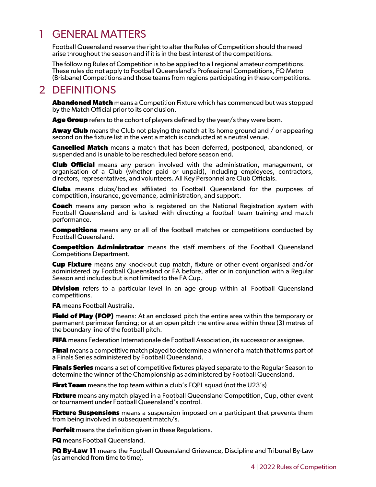## <span id="page-3-0"></span>1 GENERAL MATTERS

Football Queensland reserve the right to alter the Rules of Competition should the need arise throughout the season and if it is in the best interest of the competitions.

The following Rules of Competition is to be applied to all regional amateur competitions. These rules do not apply to Football Queensland's Professional Competitions, FQ Metro (Brisbane) Competitions and those teams from regions participating in these competitions.

## <span id="page-3-1"></span>2 DEFINITIONS

**Abandoned Match** means a Competition Fixture which has commenced but was stopped by the Match Official prior to its conclusion.

**Age Group** refers to the cohort of players defined by the year/s they were born.

**Away Club** means the Club not playing the match at its home ground and / or appearing second on the fixture list in the vent a match is conducted at a neutral venue.

**Cancelled Match** means a match that has been deferred, postponed, abandoned, or suspended and is unable to be rescheduled before season end.

**Club Official** means any person involved with the administration, management, or organisation of a Club (whether paid or unpaid), including employees, contractors, directors, representatives, and volunteers. All Key Personnel are Club Officials.

**Clubs** means clubs/bodies affiliated to Football Queensland for the purposes of competition, insurance, governance, administration, and support.

**Coach** means any person who is registered on the National Registration system with Football Queensland and is tasked with directing a football team training and match performance.

**Competitions** means any or all of the football matches or competitions conducted by Football Queensland.

**Competition Administrator** means the staff members of the Football Queensland Competitions Department.

**Cup Fixture** means any knock-out cup match, fixture or other event organised and/or administered by Football Queensland or FA before, after or in conjunction with a Regular Season and includes but is not limited to the FA Cup.

**Division** refers to a particular level in an age group within all Football Queensland competitions.

**FA** means Football Australia.

**Field of Play (FOP)** means: At an enclosed pitch the entire area within the temporary or permanent perimeter fencing; or at an open pitch the entire area within three (3) metres of the boundary line of the football pitch.

**FIFA** means Federation Internationale de Football Association, its successor or assignee.

**Final** means a competitive match played to determine a winner of a match that forms part of a Finals Series administered by Football Queensland.

**Finals Series** means a set of competitive fixtures played separate to the Regular Season to determine the winner of the Championship as administered by Football Queensland.

**First Team** means the top team within a club's FQPL squad (not the U23's)

**Fixture** means any match played in a Football Queensland Competition, Cup, other event or tournament under Football Queensland's control.

**Fixture Suspensions** means a suspension imposed on a participant that prevents them from being involved in subsequent match/s.

**Forfeit** means the definition given in these Regulations.

**FQ** means Football Queensland.

**FQ By-Law 11** means the Football Queensland Grievance, Discipline and Tribunal By-Law (as amended from time to time).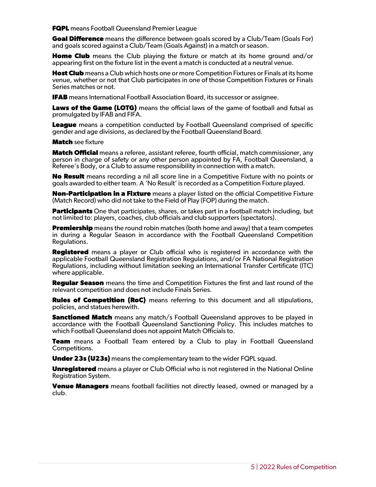**FQPL** means Football Queensland Premier League

**Goal Difference** means the difference between goals scored by a Club/Team (Goals For) and goals scored against a Club/Team (Goals Against) in a match or season.

**Home Club** means the Club playing the fixture or match at its home ground and/or appearing first on the fixture list in the event a match is conducted at a neutral venue.

**Host Club** means a Club which hosts one or more Competition Fixtures or Finals at its home venue, whether or not that Club participates in one of those Competition Fixtures or Finals Series matches or not.

**IFAB** means International Football Association Board, its successor or assignee.

**Laws of the Game (LOTG)** means the official laws of the game of football and futsal as promulgated by IFAB and FIFA.

**League** means a competition conducted by Football Queensland comprised of specific gender and age divisions, as declared by the Football Queensland Board.

**Match** see fixture

**Match Official** means a referee, assistant referee, fourth official, match commissioner, any person in charge of safety or any other person appointed by FA, Football Queensland, a Referee's Body, or a Club to assume responsibility in connection with a match.

**No Result** means recording a nil all score line in a Competitive Fixture with no points or goals awarded to either team. A 'No Result' is recorded as a Competition Fixture played.

**Non-Participation in a Fixture** means a player listed on the official Competitive Fixture (Match Record) who did not take to the Field of Play (FOP) during the match.

**Participants** One that participates, shares, or takes part in a football match including, but not limited to: players, coaches, club officials and club supporters (spectators).

**Premiership** means the round robin matches (both home and away) that a team competes in during a Regular Season in accordance with the Football Queensland Competition Regulations.

**Registered** means a player or Club official who is registered in accordance with the applicable Football Queensland Registration Regulations, and/or FA National Registration Regulations, including without limitation seeking an International Transfer Certificate (ITC) where applicable.

**Regular Season** means the time and Competition Fixtures the first and last round of the relevant competition and does not include Finals Series.

**Rules of Competition (RoC)** means referring to this document and all stipulations, policies, and statues herewith.

**Sanctioned Match** means any match/s Football Queensland approves to be played in accordance with the Football Queensland Sanctioning Policy. This includes matches to which Football Queensland does not appoint Match Officials to.

**Team** means a Football Team entered by a Club to play in Football Queensland Competitions.

**Under 23s (U23s)** means the complementary team to the wider FQPL squad.

**Unregistered** means a player or Club Official who is not registered in the National Online Registration System.

**Venue Managers** means football facilities not directly leased, owned or managed by a club.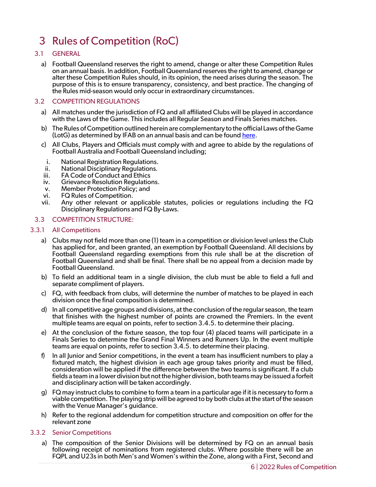# <span id="page-5-0"></span>3 Rules of Competition (RoC)

- <span id="page-5-1"></span>3.1 GENERAL
	- a) Football Queensland reserves the right to amend, change or alter these Competition Rules on an annual basis. In addition, Football Queensland reserves the right to amend, change or alter these Competition Rules should, in its opinion, the need arises during the season. The purpose of this is to ensure transparency, consistency, and best practice. The changing of the Rules mid-season would only occur in extraordinary circumstances.

## <span id="page-5-2"></span>3.2 COMPETITION REGULATIONS

- a) All matches under the jurisdiction of FQ and all affiliated Clubs will be played in accordance with the Laws of the Game. This includes all Regular Season and Finals Series matches.
- b) The Rules of Competition outlined herein are complementary to the official Laws of the Game (LotG) as determined by IFAB on an annual basis and can be foun[d here.](https://resources.fifa.com/image/upload/ifab-laws-of-the-game-2020-21.pdf?cloudid=d6g1medsi8jrrd3e4imp)
- c) All Clubs, Players and Officials must comply with and agree to abide by the regulations of Football Australia and Football Queensland including;
- i. National Registration Regulations.
- ii. National Disciplinary Regulations.
- iii. FA Code of Conduct and Ethics<br>iv. Grievance Resolution Regulatio
- Grievance Resolution Regulations.
- v. Member Protection Policy; and<br>vi. FQ Rules of Competition.
- FQ Rules of Competition.
- vii. Any other relevant or applicable statutes, policies or regulations including the FQ Disciplinary Regulations and FQ By-Laws.

## <span id="page-5-3"></span>3.3 COMPETITION STRUCTURE:

## 3.3.1 All Competitions

- <span id="page-5-4"></span>a) Clubs may not field more than one (1) team in a competition or division level unless the Club has applied for, and been granted, an exemption by Football Queensland. All decisions by Football Queensland regarding exemptions from this rule shall be at the discretion of Football Queensland and shall be final. There shall be no appeal from a decision made by Football Queensland.
- b) To field an additional team in a single division, the club must be able to field a full and separate compliment of players.
- c) FQ, with feedback from clubs, will determine the number of matches to be played in each division once the final composition is determined.
- d) In all competitive age groups and divisions, at the conclusion of the regular season, the team that finishes with the highest number of points are crowned the Premiers. In the event multiple teams are equal on points, refer to section 3.4.5. to determine their placing.
- e) At the conclusion of the fixture season, the top four (4) placed teams will participate in a Finals Series to determine the Grand Final Winners and Runners Up. In the event multiple teams are equal on points, refer to section 3.4.5. to determine their placing.
- f) In all Junior and Senior competitions, in the event a team has insufficient numbers to play a fixtured match, the highest division in each age group takes priority and must be filled, consideration will be applied if the difference between the two teams is significant. If a club fields a team in a lower division but not the higher division, both teams may be issued a forfeit and disciplinary action will be taken accordingly.
- g) FQ may instruct clubs to combine to form a team in a particular age if it is necessary to form a viable competition. The playing strip will be agreed to by both clubs at the start of the season with the Venue Manager's guidance.
- h) Refer to the regional addendum for competition structure and composition on offer for the relevant zone

#### <span id="page-5-5"></span>3.3.2 Senior Competitions

a) The composition of the Senior Divisions will be determined by FQ on an annual basis following receipt of nominations from registered clubs. Where possible there will be an FQPL and U23s in both Men's and Women's within the Zone, along with a First, Second and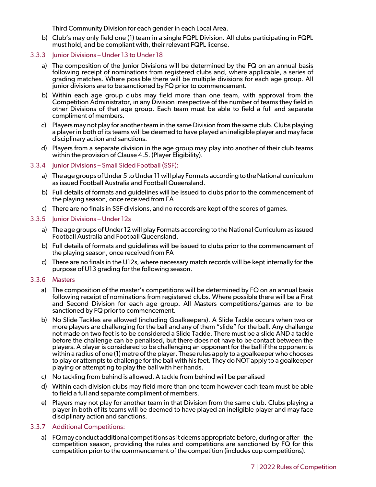Third Community Division for each gender in each Local Area.

b) Club's may only field one (1) team in a single FQPL Division. All clubs participating in FQPL must hold, and be compliant with, their relevant FQPL license.

### <span id="page-6-0"></span>3.3.3 Junior Divisions – Under 13 to Under 18

- a) The composition of the Junior Divisions will be determined by the FQ on an annual basis following receipt of nominations from registered clubs and, where applicable, a series of grading matches. Where possible there will be multiple divisions for each age group. All junior divisions are to be sanctioned by FQ prior to commencement.
- b) Within each age group clubs may field more than one team, with approval from the Competition Administrator, in any Division irrespective of the number of teams they field in other Divisions of that age group. Each team must be able to field a full and separate compliment of members.
- c) Players may not play for another team in the same Division from the same club. Clubs playing a player in both of its teams will be deemed to have played an ineligible player and may face disciplinary action and sanctions.
- d) Players from a separate division in the age group may play into another of their club teams within the provision of Clause 4.5. (Player Eligibility).

### <span id="page-6-1"></span>3.3.4 Junior Divisions – Small Sided Football (SSF):

- a) The age groups of Under 5 to Under 11 will play Formats according to the National curriculum as issued Football Australia and Football Queensland.
- b) Full details of formats and guidelines will be issued to clubs prior to the commencement of the playing season, once received from FA
- <span id="page-6-2"></span>c) There are no finals in SSF divisions, and no records are kept of the scores of games.

### 3.3.5 Junior Divisions – Under 12s

- a) The age groups of Under 12 will play Formats according to the National Curriculum as issued Football Australia and Football Queensland.
- b) Full details of formats and guidelines will be issued to clubs prior to the commencement of the playing season, once received from FA
- c) There are no finals in the U12s, where necessary match records will be kept internally for the purpose of U13 grading for the following season.

#### <span id="page-6-3"></span>3.3.6 Masters

- a) The composition of the master's competitions will be determined by FQ on an annual basis following receipt of nominations from registered clubs. Where possible there will be a First and Second Division for each age group. All Masters competitions/games are to be sanctioned by FQ prior to commencement.
- b) No Slide Tackles are allowed (including Goalkeepers). A Slide Tackle occurs when two or more players are challenging for the ball and any of them "slide" for the ball. Any challenge not made on two feet is to be considered a Slide Tackle. There must be a slide AND a tackle before the challenge can be penalised, but there does not have to be contact between the players. A player is considered to be challenging an opponent for the ball if the opponent is within a radius of one (1) metre of the player. These rules apply to a goalkeeper who chooses to play or attempts to challenge for the ball with his feet. They do NOT apply to a goalkeeper playing or attempting to play the ball with her hands.
- c) No tackling from behind is allowed. A tackle from behind will be penalised
- d) Within each division clubs may field more than one team however each team must be able to field a full and separate compliment of members.
- e) Players may not play for another team in that Division from the same club. Clubs playing a player in both of its teams will be deemed to have played an ineligible player and may face disciplinary action and sanctions.

#### <span id="page-6-4"></span>3.3.7 Additional Competitions:

a) FQ may conduct additional competitions as it deems appropriate before, during or after the competition season, providing the rules and competitions are sanctioned by FQ for this competition prior to the commencement of the competition (includes cup competitions).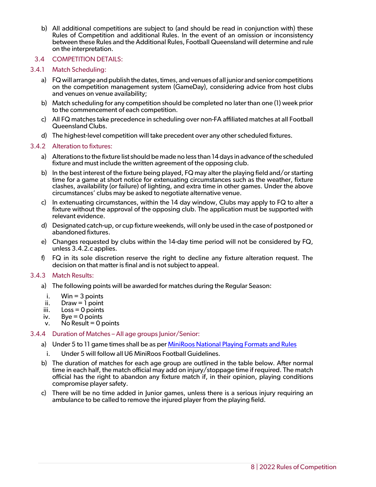b) All additional competitions are subject to (and should be read in conjunction with) these Rules of Competition and additional Rules. In the event of an omission or inconsistency between these Rules and the Additional Rules, Football Queensland will determine and rule on the interpretation.

## <span id="page-7-0"></span>3.4 COMPETITION DETAILS:

## 3.4.1 Match Scheduling:

- <span id="page-7-1"></span>a) FQ will arrange and publish the dates, times, and venues of all junior and senior competitions on the competition management system (GameDay), considering advice from host clubs and venues on venue availability;
- b) Match scheduling for any competition should be completed no later than one (1) week prior to the commencement of each competition.
- c) All FQ matches take precedence in scheduling over non-FA affiliated matches at all Football Queensland Clubs.
- <span id="page-7-2"></span>d) The highest-level competition will take precedent over any other scheduled fixtures.

### 3.4.2 Alteration to fixtures:

- a) Alterations to the fixture list should be made no less than 14 days in advance of the scheduled fixture and must include the written agreement of the opposing club.
- b) In the best interest of the fixture being played, FQ may alter the playing field and/or starting time for a game at short notice for extenuating circumstances such as the weather, fixture clashes, availability (or failure) of lighting, and extra time in other games. Under the above circumstances' clubs may be asked to negotiate alternative venue.
- c) In extenuating circumstances, within the 14 day window, Clubs may apply to FQ to alter a fixture without the approval of the opposing club. The application must be supported with relevant evidence.
- d) Designated catch-up, or cup fixture weekends, will only be used in the case of postponed or abandoned fixtures.
- e) Changes requested by clubs within the 14-day time period will not be considered by FQ, unless 3.4.2.c applies.
- f) FQ in its sole discretion reserve the right to decline any fixture alteration request. The decision on that matter is final and is not subject to appeal.

#### <span id="page-7-3"></span>3.4.3 Match Results:

- a) The following points will be awarded for matches during the Regular Season:
	- i. Win  $=$  3 points
- ii. Draw  $=$  1 point
- iii. Loss = 0 points
- iv. Bye  $= 0$  points
- <span id="page-7-4"></span> $v.$  No Result = 0 points

#### 3.4.4 Duration of Matches – All age groups Junior/Senior:

- a) Under 5 to 11 game times shall be as per [MiniRoos National Playing Formats and Rules](https://www.playfootball.com.au/sites/play/files/2020-01/Playing-Formats-and-Rules.pdf)
	- i. Under 5 will follow all U6 MiniRoos Football Guidelines.
- b) The duration of matches for each age group are outlined in the table below. After normal time in each half, the match official may add on injury/stoppage time if required. The match official has the right to abandon any fixture match if, in their opinion, playing conditions compromise player safety.
- c) There will be no time added in Junior games, unless there is a serious injury requiring an ambulance to be called to remove the injured player from the playing field.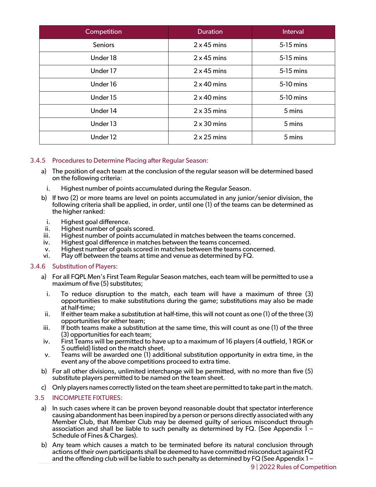| Competition         | <b>Duration</b>    | Interval  |
|---------------------|--------------------|-----------|
| <b>Seniors</b>      | $2 \times 45$ mins | 5-15 mins |
| Under 18            | $2 \times 45$ mins | 5-15 mins |
| Under 17            | $2 \times 45$ mins | 5-15 mins |
| Under 16            | $2 \times 40$ mins | 5-10 mins |
| Under 15            | $2 \times 40$ mins | 5-10 mins |
| Under 14            | $2 \times 35$ mins | 5 mins    |
| Under 13            | $2 \times 30$ mins | 5 mins    |
| Under <sub>12</sub> | $2 \times 25$ mins | 5 mins    |

## <span id="page-8-0"></span>3.4.5 Procedures to Determine Placing after Regular Season:

- a) The position of each team at the conclusion of the regular season will be determined based on the following criteria:
	- i. Highest number of points accumulated during the Regular Season.
- b) If two (2) or more teams are level on points accumulated in any junior/senior division, the following criteria shall be applied, in order, until one (1) of the teams can be determined as the higher ranked:
	- i. Highest goal difference.
- ii. Highest number of goals scored.
- iii. Highest number of points accumulated in matches between the teams concerned.
- iv. Highest goal difference in matches between the teams concerned.
- v. Highest number of goals scored in matches between the teams concerned.
- <span id="page-8-1"></span>vi. Play off between the teams at time and venue as determined by FQ.

#### 3.4.6 Substitution of Players:

- a) For all FQPL Men's First Team Regular Season matches, each team will be permitted to use a maximum of five (5) substitutes;
	- i. To reduce disruption to the match, each team will have a maximum of three (3) opportunities to make substitutions during the game; substitutions may also be made at half-time;
- ii. If either team make a substitution at half-time, this will not count as one (1) of the three (3) opportunities for either team;
- iii. If both teams make a substitution at the same time, this will count as one (1) of the three (3) opportunities for each team;
- iv. First Teams will be permitted to have up to a maximum of 16 players (4 outfield, 1 RGK or
- v. Teams will be awarded one (1) additional substitution opportunity in extra time, in the event any of the above competitions proceed to extra time.
- b) For all other divisions, unlimited interchange will be permitted, with no more than five (5) substitute players permitted to be named on the team sheet.
- c) Only players names correctly listed on the team sheet are permitted to take part in the match.

## <span id="page-8-2"></span>3.5 INCOMPLETE FIXTURES:

- a) In such cases where it can be proven beyond reasonable doubt that spectator interference causing abandonment has been inspired by a person or persons directly associated with any Member Club, that Member Club may be deemed guilty of serious misconduct through association and shall be liable to such penalty as determined by FQ. (See Appendix 1 – Schedule of Fines & Charges).
- b) Any team which causes a match to be terminated before its natural conclusion through actions of their own participants shall be deemed to have committed misconduct against FQ and the offending club will be liable to such penalty as determined by FQ (See Appendix 1 –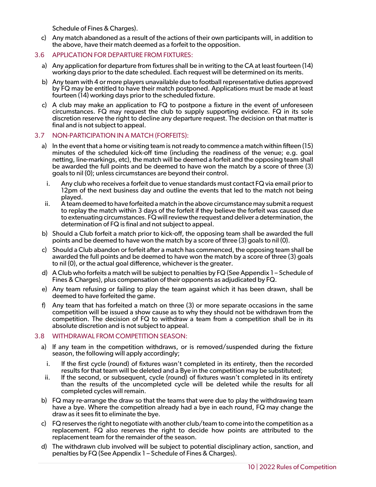Schedule of Fines & Charges).

- c) Any match abandoned as a result of the actions of their own participants will, in addition to the above, have their match deemed as a forfeit to the opposition.
- <span id="page-9-0"></span>3.6 APPLICATION FOR DEPARTURE FROM FIXTURES:
	- a) Any application for departure from fixtures shall be in writing to the CA at least fourteen (14) working days prior to the date scheduled. Each request will be determined on its merits.
	- b) Any team with 4 or more players unavailable due to football representative duties approved by FQ may be entitled to have their match postponed. Applications must be made at least fourteen (14) working days prior to the scheduled fixture.
	- c) A club may make an application to FQ to postpone a fixture in the event of unforeseen circumstances. FQ may request the club to supply supporting evidence. FQ in its sole discretion reserve the right to decline any departure request. The decision on that matter is final and is not subject to appeal.

## <span id="page-9-1"></span>3.7 NON-PARTICIPATION IN A MATCH (FORFEITS):

- a) In the event that a home or visiting team is not ready to commence a match within fifteen (15) minutes of the scheduled kick-off time (including the readiness of the venue; e.g. goal netting, line-markings, etc), the match will be deemed a forfeit and the opposing team shall be awarded the full points and be deemed to have won the match by a score of three (3) goals to nil (0); unless circumstances are beyond their control.
	- i. Any club who receives a forfeit due to venue standards must contact FQ via email prior to 12pm of the next business day and outline the events that led to the match not being played.
- ii. A team deemed to have forfeited a match in the above circumstance may submit a request to replay the match within 3 days of the forfeit if they believe the forfeit was caused due to extenuating circumstances. FQ will review the request and deliver a determination, the determination of FQ is final and not subject to appeal.
- b) Should a Club forfeit a match prior to kick-off, the opposing team shall be awarded the full points and be deemed to have won the match by a score of three (3) goals to nil (0).
- c) Should a Club abandon or forfeit after a match has commenced, the opposing team shall be awarded the full points and be deemed to have won the match by a score of three (3) goals to nil (0), or the actual goal difference, whichever is the greater.
- d) A Club who forfeits a match will be subject to penalties by FQ (See Appendix 1 Schedule of Fines & Charges), plus compensation of their opponents as adjudicated by FQ.
- e) Any team refusing or failing to play the team against which it has been drawn, shall be deemed to have forfeited the game.
- f) Any team that has forfeited a match on three (3) or more separate occasions in the same competition will be issued a show cause as to why they should not be withdrawn from the competition. The decision of FQ to withdraw a team from a competition shall be in its absolute discretion and is not subject to appeal.

#### <span id="page-9-2"></span>3.8 WITHDRAWAL FROM COMPETITION SEASON:

- a) If any team in the competition withdraws, or is removed/suspended during the fixture season, the following will apply accordingly;
	- i. If the first cycle (round) of fixtures wasn't completed in its entirety, then the recorded results for that team will be deleted and a Bye in the competition may be substituted;
- ii. If the second, or subsequent, cycle (round) of fixtures wasn't completed in its entirety than the results of the uncompleted cycle will be deleted while the results for all completed cycles will remain.
- b) FQ may re-arrange the draw so that the teams that were due to play the withdrawing team have a bye. Where the competition already had a bye in each round, FQ may change the draw as it sees fit to eliminate the bye.
- c) FQ reserves the right to negotiate with another club/team to come into the competition as a replacement. FQ also reserves the right to decide how points are attributed to the replacement team for the remainder of the season.
- d) The withdrawn club involved will be subject to potential disciplinary action, sanction, and penalties by FQ (See Appendix 1 – Schedule of Fines & Charges).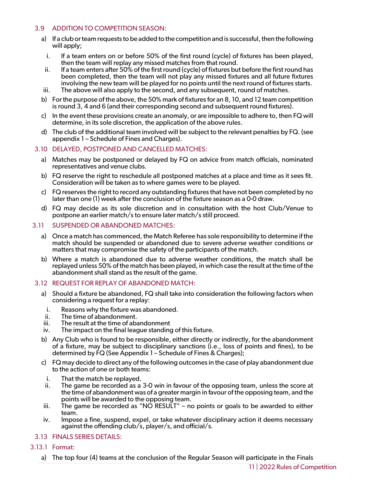## <span id="page-10-0"></span>3.9 ADDITION TO COMPETITION SEASON:

- a) If a club or team requests to be added to the competition and is successful, then the following will apply;
	- i. If a team enters on or before 50% of the first round (cycle) of fixtures has been played, then the team will replay any missed matches from that round.
- ii. If a team enters after 50% of the first round (cycle) of fixtures but before the first round has been completed, then the team will not play any missed fixtures and all future fixtures involving the new team will be played for no points until the next round of fixtures starts.
- iii. The above will also apply to the second, and any subsequent, round of matches.
- b) For the purpose of the above, the 50% mark of fixtures for an 8, 10, and 12 team competition is round 3, 4 and 6 (and their corresponding second and subsequent round fixtures).
- c) In the event these provisions create an anomaly, or are impossible to adhere to, then FQ will determine, in its sole discretion, the application of the above rules.
- d) The club of the additional team involved will be subject to the relevant penalties by FQ. (see appendix 1 – Schedule of Fines and Charges).

## <span id="page-10-1"></span>3.10 DELAYED, POSTPONED AND CANCELLED MATCHES:

- a) Matches may be postponed or delayed by FQ on advice from match officials, nominated representatives and venue clubs.
- b) FQ reserve the right to reschedule all postponed matches at a place and time as it sees fit. Consideration will be taken as to where games were to be played.
- c) FQ reserves the right to record any outstanding fixtures that have not been completed by no later than one (1) week after the conclusion of the fixture season as a 0-0 draw.
- d) FQ may decide as its sole discretion and in consultation with the host Club/Venue to postpone an earlier match/s to ensure later match/s still proceed.

### <span id="page-10-2"></span>3.11 SUSPENDED OR ABANDONED MATCHES:

- a) Once a match has commenced, the Match Referee has sole responsibility to determine if the match should be suspended or abandoned due to severe adverse weather conditions or matters that may compromise the safety of the participants of the match.
- b) Where a match is abandoned due to adverse weather conditions, the match shall be replayed unless 50% of the match has been played, in which case the result at the time of the abandonment shall stand as the result of the game.

#### <span id="page-10-3"></span>3.12 REQUEST FOR REPLAY OF ABANDONED MATCH:

- a) Should a fixture be abandoned, FQ shall take into consideration the following factors when considering a request for a replay:
	- i. Reasons why the fixture was abandoned.
- ii. The time of abandonment.
- iii. The result at the time of abandonment
- iv. The impact on the final league standing of this fixture.
- b) Any Club who is found to be responsible, either directly or indirectly, for the abandonment of a fixture, may be subject to disciplinary sanctions (i.e., loss of points and fines), to be determined by FQ (See Appendix 1 – Schedule of Fines & Charges);
- c) FQ may decide to direct any of the following outcomes in the case of play abandonment due to the action of one or both teams:
- i. That the match be replayed.<br>ii. The game be recorded as a
- The game be recorded as a 3-0 win in favour of the opposing team, unless the score at the time of abandonment was of a greater margin in favour of the opposing team, and the points will be awarded to the opposing team.
- iii. The game be recorded as "NO RESULT" no points or goals to be awarded to either team.
- iv. Impose a fine, suspend, expel, or take whatever disciplinary action it deems necessary against the offending club/s, player/s, and official/s.
- <span id="page-10-4"></span>3.13 FINALS SERIES DETAILS:
- <span id="page-10-5"></span>3.13.1 Format:
	- a) The top four (4) teams at the conclusion of the Regular Season will participate in the Finals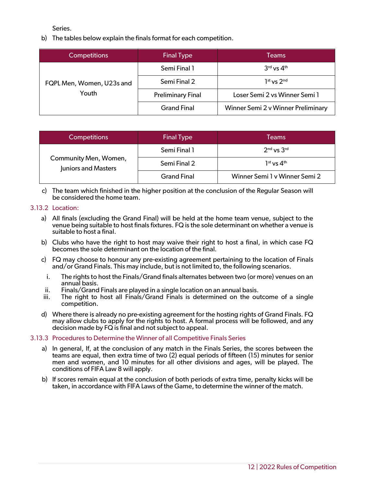Series.

b) The tables below explain the finals format for each competition.

| <b>Competitions</b>                | <b>Final Type</b>        | Teams                              |  |  |  |  |
|------------------------------------|--------------------------|------------------------------------|--|--|--|--|
| FQPL Men, Women, U23s and<br>Youth | Semi Final 1             | $3rd$ vs $4th$                     |  |  |  |  |
|                                    | Semi Final 2             | $1st$ vs $2nd$                     |  |  |  |  |
|                                    | <b>Preliminary Final</b> | Loser Semi 2 vs Winner Semi 1      |  |  |  |  |
|                                    | <b>Grand Final</b>       | Winner Semi 2 v Winner Preliminary |  |  |  |  |

| <b>Competitions</b>                          | <b>Final Type</b>  | Teams                         |
|----------------------------------------------|--------------------|-------------------------------|
|                                              | Semi Final 1       | $2nd$ vs $3rd$                |
| Community Men, Women,<br>Juniors and Masters | Semi Final 2       | $1st$ vs $4th$                |
|                                              | <b>Grand Final</b> | Winner Semi 1 v Winner Semi 2 |

c) The team which finished in the higher position at the conclusion of the Regular Season will be considered the home team.

## <span id="page-11-0"></span>3.13.2 Location:

- a) All finals (excluding the Grand Final) will be held at the home team venue, subject to the venue being suitable to host finals fixtures. FQ is the sole determinant on whether a venue is suitable to host a final.
- b) Clubs who have the right to host may waive their right to host a final, in which case FQ becomes the sole determinant on the location of the final.
- c) FQ may choose to honour any pre-existing agreement pertaining to the location of Finals and/or Grand Finals. This may include, but is not limited to, the following scenarios.
	- i. The rights to host the Finals/Grand finals alternates between two (or more) venues on an annual basis.
- ii. Finals/Grand Finals are played in a single location on an annual basis.
- iii. The right to host all Finals/Grand Finals is determined on the outcome of a single competition.
- d) Where there is already no pre-existing agreement for the hosting rights of Grand Finals. FQ may allow clubs to apply for the rights to host. A formal process will be followed, and any decision made by FQ is final and not subject to appeal.

## <span id="page-11-1"></span>3.13.3 Procedures to Determine the Winner of all Competitive Finals Series

- a) In general, If, at the conclusion of any match in the Finals Series, the scores between the teams are equal, then extra time of two (2) equal periods of fifteen (15) minutes for senior men and women, and 10 minutes for all other divisions and ages, will be played. The conditions of FIFA Law 8 will apply.
- b) If scores remain equal at the conclusion of both periods of extra time, penalty kicks will be taken, in accordance with FIFA Laws of the Game, to determine the winner of the match.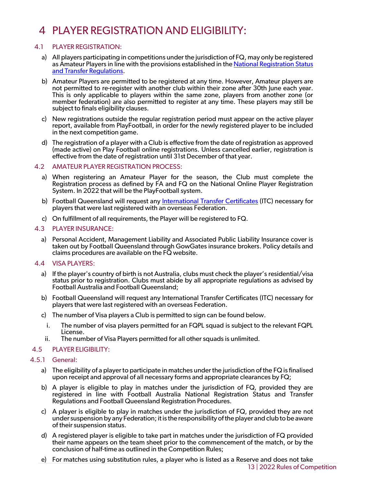# <span id="page-12-0"></span>4 PLAYER REGISTRATION AND ELIGIBILITY:

## 4.1 PLAYER REGISTRATION:

- <span id="page-12-1"></span>a) All players participating in competitions under the jurisdiction of FQ, may only be registered as Amateur Players in line with the provisions established in the National Registration Status [and Transfer Regulations.](https://www.footballaustralia.com.au/sites/ffa/files/2021-11/21-09%20National%20Registration%2C%20Status%20and%20Transfer%20Regulations%20%28Final%29.pdf)
- b) Amateur Players are permitted to be registered at any time. However, Amateur players are not permitted to re-register with another club within their zone after 30th June each year. This is only applicable to players within the same zone, players from another zone (or member federation) are also permitted to register at any time. These players may still be subject to finals eligibility clauses.
- c) New registrations outside the regular registration period must appear on the active player report, available from PlayFootball, in order for the newly registered player to be included in the next competition game.
- d) The registration of a player with a Club is effective from the date of registration as approved (made active) on Play Football online registrations. Unless cancelled earlier, registration is effective from the date of registration until 31st December of that year.

### <span id="page-12-2"></span>4.2 AMATEUR PLAYER REGISTRATION PROCESS:

- a) When registering an Amateur Player for the season, the Club must complete the Registration process as defined by FA and FQ on the National Online Player Registration System. In 2022 that will be the PlayFootball system.
- b) Football Queensland will request any [International Transfer Certificates](https://www.footballaustralia.com.au/sites/ffa/files/2021-02/Guide%20to%20ITCs%20and%20Minor%20Applications%20%28ITCs%29%20%282021%29%20Final.pdf) (ITC) necessary for players that were last registered with an overseas Federation.
- c) On fulfillment of all requirements, the Player will be registered to FQ.

## <span id="page-12-3"></span>4.3 PLAYER INSURANCE:

a) Personal Accident, Management Liability and Associated Public Liability Insurance cover is taken out by Football Queensland through GowGates insurance brokers. Policy details and claims procedures are available on the FQ website.

## <span id="page-12-4"></span>4.4 VISA PLAYERS:

- a) If the player's country of birth is not Australia, clubs must check the player's residential/visa status prior to registration. Clubs must abide by all appropriate regulations as advised by Football Australia and Football Queensland;
- b) Football Queensland will request any International Transfer Certificates (ITC) necessary for players that were last registered with an overseas Federation.
- c) The number of Visa players a Club is permitted to sign can be found below.
	- i. The number of visa players permitted for an FQPL squad is subject to the relevant FQPL License.
- ii. The number of Visa Players permitted for all other squads is unlimited.

## <span id="page-12-5"></span>4.5 PLAYER ELIGIBILITY:

## 4.5.1 General:

- <span id="page-12-6"></span>a) The eligibility of a player to participate in matches under the jurisdiction of the FQ is finalised upon receipt and approval of all necessary forms and appropriate clearances by FQ;
- b) A player is eligible to play in matches under the jurisdiction of FQ, provided they are registered in line with Football Australia National Registration Status and Transfer Regulations and Football Queensland Registration Procedures.
- c) A player is eligible to play in matches under the jurisdiction of FQ, provided they are not under suspension by any Federation; it is the responsibility of the player and club to be aware of their suspension status.
- d) A registered player is eligible to take part in matches under the jurisdiction of FQ provided their name appears on the team sheet prior to the commencement of the match, or by the conclusion of half-time as outlined in the Competition Rules;
- e) For matches using substitution rules, a player who is listed as a Reserve and does not take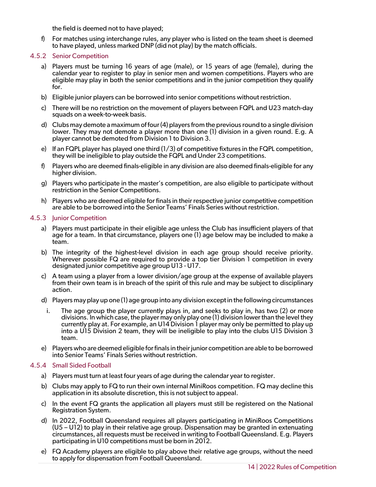the field is deemed not to have played;

f) For matches using interchange rules, any player who is listed on the team sheet is deemed to have played, unless marked DNP (did not play) by the match officials.

## <span id="page-13-0"></span>4.5.2 Senior Competition

- a) Players must be turning 16 years of age (male), or 15 years of age (female), during the calendar year to register to play in senior men and women competitions. Players who are eligible may play in both the senior competitions and in the junior competition they qualify for.
- b) Eligible junior players can be borrowed into senior competitions without restriction.
- c) There will be no restriction on the movement of players between FQPL and U23 match-day squads on a week-to-week basis.
- d) Clubs may demote a maximum of four (4) players from the previous roundto a single division lower. They may not demote a player more than one (1) division in a given round. E.g. A player cannot be demoted from Division 1 to Division 3.
- e) If an FQPL player has played one third (1/3) of competitive fixtures in the FQPL competition, they will be ineligible to play outside the FQPL and Under 23 competitions.
- f) Players who are deemed finals-eligible in any division are also deemed finals-eligible for any higher division.
- g) Players who participate in the master's competition, are also eligible to participate without restriction in the Senior Competitions.
- h) Players who are deemed eligible for finals in their respective junior competitive competition are able to be borrowed into the Senior Teams' Finals Series without restriction.

## <span id="page-13-1"></span>4.5.3 Junior Competition

- a) Players must participate in their eligible age unless the Club has insufficient players of that age for a team. In that circumstance, players one (1) age below may be included to make a team.
- b) The integrity of the highest-level division in each age group should receive priority. Wherever possible FQ are required to provide a top tier Division 1 competition in every designated junior competitive age group U13 - U17.
- c) A team using a player from a lower division/age group at the expense of available players from their own team is in breach of the spirit of this rule and may be subject to disciplinary action.
- d) Players may play up one (1) age group into any division except in the following circumstances
	- i. The age group the player currently plays in, and seeks to play in, has two (2) or more divisions. In which case, the player may only play one (1) division lower than the level they currently play at. For example, an U14 Division 1 player may only be permitted to play up into a U15 Division 2 team, they will be ineligible to play into the clubs U15 Division 3 team.
- e) Players who are deemed eligible for finals in their junior competition are able to be borrowed into Senior Teams' Finals Series without restriction.

## <span id="page-13-2"></span>4.5.4 Small Sided Football

- a) Players must turn at least four years of age during the calendar year to register.
- b) Clubs may apply to FQ to run their own internal MiniRoos competition. FQ may decline this application in its absolute discretion, this is not subject to appeal.
- c) In the event FQ grants the application all players must still be registered on the National Registration System.
- d) In 2022, Football Queensland requires all players participating in MiniRoos Competitions (U5 – U12) to play in their relative age group. Dispensation may be granted in extenuating circumstances, all requests must be received in writing to Football Queensland. E.g. Players participating in U10 competitions must be born in 2012.
- e) FQ Academy players are eligible to play above their relative age groups, without the need to apply for dispensation from Football Queensland.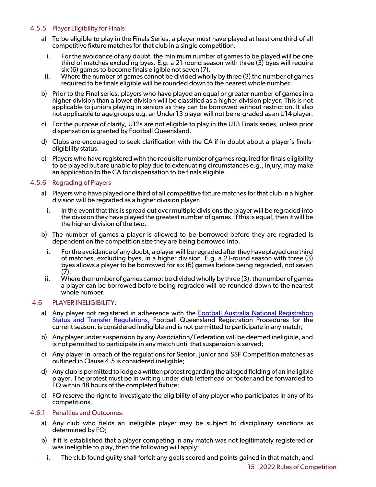## <span id="page-14-0"></span>4.5.5 Player Eligibility for Finals

- a) To be eligible to play in the Finals Series, a player must have played at least one third of all competitive fixture matches for that club in a single competition.
	- i. For the avoidance of any doubt, the minimum number of games to be played will be one third of matches excluding byes. E.g. a 21-round season with three (3) byes will require six (6) games to become finals eligible not seven (7).
- ii. Where the number of games cannot be divided wholly by three (3) the number of games required to be finals eligible will be rounded down to the nearest whole number.
- b) Prior to the Final series, players who have played an equal or greater number of games in a higher division than a lower division will be classified as a higher division player. This is not applicable to juniors playing in seniors as they can be borrowed without restriction. It also not applicable to age groups e.g. an Under 13 player will not be re-graded as an U14 player.
- c) For the purpose of clarity, U12s are not eligible to play in the U13 Finals series, unless prior dispensation is granted by Football Queensland.
- d) Clubs are encouraged to seek clarification with the CA if in doubt about a player's finals- eligibility status.
- e) Players who have registered with the requisite number of games required for finals eligibility to be played but are unable to play due to extenuating circumstances e.g., injury, may make an application to the CA for dispensation to be finals eligible.

## <span id="page-14-1"></span>4.5.6 Regrading of Players

- a) Players who have played one third of all competitive fixture matches for that club in a higher division will be regraded as a higher division player.
	- i. In the event that this is spread out over multiple divisions the player will be regraded into the division they have played the greatest number of games. If this is equal, then it will be the higher division of the two.
- b) The number of games a player is allowed to be borrowed before they are regraded is dependent on the competition size they are being borrowed into.
	- i. For the avoidance of any doubt, a player will be regraded after they have played one third of matches, excluding byes, in a higher division. E.g. a 21-round season with three (3) byes allows a player to be borrowed for six (6) games before being regraded, not seven (7).
- ii. Where the number of games cannot be divided wholly by three (3), the number of games a player can be borrowed before being regraded will be rounded down to the nearest whole number.

## <span id="page-14-2"></span>4.6 PLAYER INELIGIBILITY:

- a) Any player not registered in adherence with the [Football Australia National Registration](https://www.footballaustralia.com.au/sites/ffa/files/2021-11/21-09%20National%20Registration%2C%20Status%20and%20Transfer%20Regulations%20%28Final%29.pdf) [Status and Transfer Regulations,](https://www.footballaustralia.com.au/sites/ffa/files/2021-11/21-09%20National%20Registration%2C%20Status%20and%20Transfer%20Regulations%20%28Final%29.pdf) Football Queensland Registration Procedures for the current season, is considered ineligible and is not permitted to participate in any match;
- b) Any player under suspension by any Association/Federation will be deemed ineligible, and is not permitted to participate in any match until that suspension is served;
- c) Any player in breach of the regulations for Senior, Junior and SSF Competition matches as outlined in Clause 4.5 is considered ineligible;
- d) Any club is permitted to lodge a written protest regarding the alleged fielding of an ineligible player. The protest must be in writing under club letterhead or footer and be forwarded to FQ within 48 hours of the completed fixture;
- <span id="page-14-3"></span>e) FQ reserve the right to investigate the eligibility of any player who participates in any of its competitions.

## 4.6.1 Penalties and Outcomes:

- a) Any club who fields an ineligible player may be subject to disciplinary sanctions as determined by FQ;
- b) If it is established that a player competing in any match was not legitimately registered or was ineligible to play, then the following will apply:
	- i. The club found guilty shall forfeit any goals scored and points gained in that match, and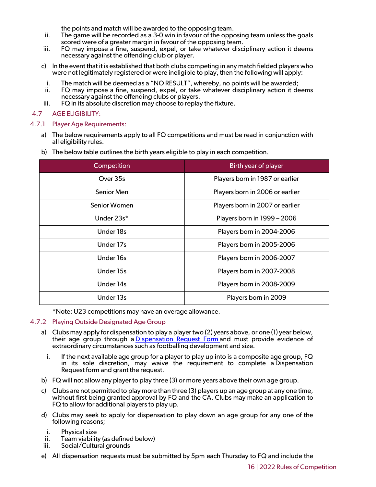the points and match will be awarded to the opposing team.

- ii. The game will be recorded as a 3-0 win in favour of the opposing team unless the goals scored were of a greater margin in favour of the opposing team.
- iii. FQ may impose a fine, suspend, expel, or take whatever disciplinary action it deems necessary against the offending club or player.
- c) In the event that it is established that both clubs competing in any match fielded players who were not legitimately registered or were ineligible to play, then the following will apply:
- i. The match will be deemed as a "NO RESULT", whereby, no points will be awarded;
- ii. FQ may impose a fine, suspend, expel, or take whatever disciplinary action it deems necessary against the offending clubs or players.
- iii. FQ in its absolute discretion may choose to replay the fixture.

## <span id="page-15-0"></span>4.7 AGE ELIGIBILITY:

### 4.7.1 Player Age Requirements:

- <span id="page-15-1"></span>a) The below requirements apply to all FQ competitions and must be read in conjunction with all eligibility rules.
- b) The below table outlines the birth years eligible to play in each competition.

| Birth year of player            |
|---------------------------------|
| Players born in 1987 or earlier |
| Players born in 2006 or earlier |
| Players born in 2007 or earlier |
| Players born in 1999 - 2006     |
| Players born in 2004-2006       |
| Players born in 2005-2006       |
| Players born in 2006-2007       |
| Players born in 2007-2008       |
| Players born in 2008-2009       |
| Players born in 2009            |
|                                 |

\*Note: U23 competitions may have an overage allowance.

## <span id="page-15-2"></span>4.7.2 Playing Outside Designated Age Group

- a) Clubs may apply for dispensation to play a player two (2) years above, or one (1) year below, their age group through a [Dispensation Request Form](https://footballqld.formstack.com/forms/2022_dispensation) and must provide evidence of extraordinary circumstances such as footballing development and size.
	- i. If the next available age group for a player to play up into is a composite age group, FQ in its sole discretion, may waive the requirement to complete a Dispensation Request form and grant the request.
- b) FQ will not allow any player to play three (3) or more years above their own age group.
- c) Clubs are not permitted to play more than three (3) players up an age group at any one time, without first being granted approval by FQ and the CA. Clubs may make an application to FQ to allow for additional players to play up.
- d) Clubs may seek to apply for dispensation to play down an age group for any one of the following reasons;
	-
- i. Physical size<br>ii. Team viability (as defined below)<br>iii. Social/Cultural grounds
- Social/Cultural grounds
- e) All dispensation requests must be submitted by 5pm each Thursday to FQ and include the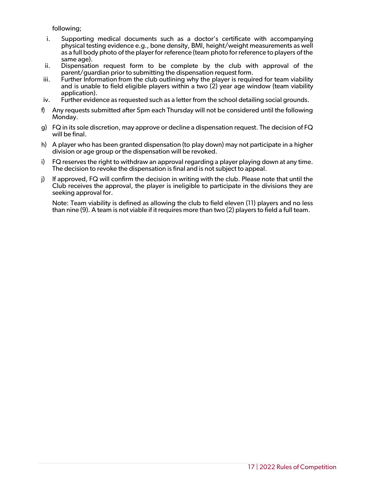following;

- i. Supporting medical documents such as a doctor's certificate with accompanying physical testing evidence e.g., bone density, BMI, height/weight measurements as well as a full body photo of the player for reference (team photo for reference to players of the same age).
- ii. Dispensation request form to be complete by the club with approval of the parent/guardian prior to submitting the dispensation request form.
- iii. Further Information from the club outlining why the player is required for team viability and is unable to field eligible players within a two (2) year age window (team viability application).
- iv. Further evidence as requested such as a letter from the school detailing social grounds.
- f) Any requests submitted after 5pm each Thursday will not be considered until the following Monday.
- g) FQ in its sole discretion, may approve or decline a dispensation request. The decision of FQ will be final.
- h) A player who has been granted dispensation (to play down) may not participate in a higher division or age group or the dispensation will be revoked.
- i) FQ reserves the right to withdraw an approval regarding a player playing down at any time. The decision to revoke the dispensation is final and is not subject to appeal.
- j) If approved, FQ will confirm the decision in writing with the club. Please note that until the Club receives the approval, the player is ineligible to participate in the divisions they are seeking approval for.

Note: Team viability is defined as allowing the club to field eleven (11) players and no less than nine (9). A team is not viable if it requires more than two (2) players to field a full team.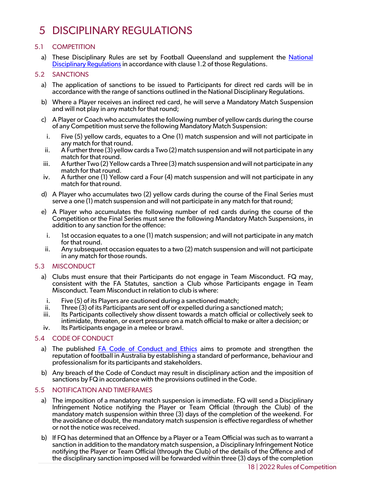# <span id="page-17-0"></span>5 DISCIPLINARY REGULATIONS

## 5.1 COMPETITION

<span id="page-17-1"></span>a) These Disciplinary Rules are set by Football Queensland and supplement the National [Disciplinary Regulations](https://www.footballaustralia.com.au/sites/ffa/files/2020-08/20-02%20National%20Disciplinary%20Regulations%202020%20(Final).pdf) in accordance with clause 1.2 of those Regulations.

## <span id="page-17-2"></span>5.2 SANCTIONS

- a) The application of sanctions to be issued to Participants for direct red cards will be in accordance with the range of sanctions outlined in the National Disciplinary Regulations.
- b) Where a Player receives an indirect red card, he will serve a Mandatory Match Suspension and will not play in any match for that round;
- c) A Player or Coach who accumulates the following number of yellow cards during the course of any Competition must serve the following Mandatory Match Suspension:
- i. Five (5) yellow cards, equates to a One (1) match suspension and will not participate in any match for that round. ii. A Further three (3) yellow cards a Two (2) match suspension and will not participate in any
- match for that round.
- iii. A further Two (2) Yellow cards a Three (3) match suspension and will not participate in any match for that round.
- iv. A further one (1) Yellow card a Four (4) match suspension and will not participate in any match for that round.
- d) A Player who accumulates two (2) yellow cards during the course of the Final Series must serve a one (1) match suspension and will not participate in any match for that round;
- e) A Player who accumulates the following number of red cards during the course of the Competition or the Final Series must serve the following Mandatory Match Suspensions, in addition to any sanction for the offence:
	- i. Ist occasion equates to a one (1) match suspension; and will not participate in any match for that round.
- ii. Any subsequent occasion equates to a two (2) match suspension and will not participate in any match for those rounds.

## <span id="page-17-3"></span>5.3 MISCONDUCT

- a) Clubs must ensure that their Participants do not engage in Team Misconduct. FQ may, consistent with the FA Statutes, sanction a Club whose Participants engage in Team Misconduct. Team Misconduct in relation to club is where:
- i. Five (5) of its Players are cautioned during a sanctioned match;
- Three (3) of its Participants are sent off or expelled during a sanctioned match;
- iii. Its Participants collectively show dissent towards a match official or collectively seek to intimidate, threaten, or exert pressure on a match official to make or alter a decision; or
- iv. Its Participants engage in a melee or brawl.

## <span id="page-17-4"></span>5.4 CODE OF CONDUCT

- a) The published FA [Code of Conduct](https://www.footballaustralia.com.au/sites/ffa/files/2021-04/FA%20Code%20of%20Conduct%20and%20Ethics%20%282021%29.pdf) and Ethics aims to promote and strengthen the reputation of football in Australia by establishing a standard of performance, behaviour and professionalism for its participants and stakeholders.
- b) Any breach of the Code of Conduct may result in disciplinary action and the imposition of sanctions by FQ in accordance with the provisions outlined in the Code.

## <span id="page-17-5"></span>5.5 NOTIFICATION AND TIMEFRAMES

- a) The imposition of a mandatory match suspension is immediate. FQ will send a Disciplinary Infringement Notice notifying the Player or Team Official (through the Club) of the mandatory match suspension within three (3) days of the completion of the weekend. For the avoidance of doubt, the mandatory match suspension is effective regardless of whether or not the notice was received.
- b) If FQ has determined that an Offence by a Player or a Team Official was such as to warrant a sanction in addition to the mandatory match suspension, a Disciplinary Infringement Notice notifying the Player or Team Official (through the Club) of the details of the Offence and of the disciplinary sanction imposed will be forwarded within three (3) days of the completion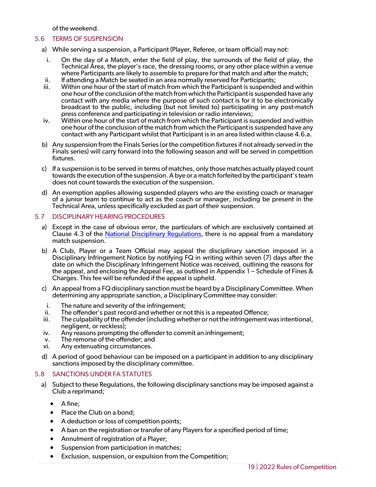of the weekend.

## <span id="page-18-0"></span>5.6 TERMS OF SUSPENSION

- a) While serving a suspension, a Participant (Player, Referee, or team official) may not:
	- i. On the day of a Match, enter the field of play, the surrounds of the field of play, the Technical Area, the player's race, the dressing rooms, or any other place within a venue where Participants are likely to assemble to prepare for that match and after the match;
- ii. If attending a Match be seated in an area normally reserved for Participants; Within one hour of the start of match from which the Participant is suspended and within
- one hour of the conclusion of the match from which the Participant is suspended have any contact with any media where the purpose of such contact is for it to be electronically broadcast to the public, including (but not limited to) participating in any post-match press conference and participating in television or radio interviews;
- iv. Within one hour of the start of match from which the Participant is suspended and within one hour of the conclusion of the match from which the Participant is suspended have any contact with any Participant whilst that Participant is in an area listed within clause 4.6.a.
- b) Any suspension from the Finals Series (or the competition fixtures if not already served in the Finals series) will carry forward into the following season and will be served in competition fixtures.
- c) If a suspension is to be served in terms of matches, only those matches actually played count towards the execution of the suspension. A bye or a match forfeited by the participant's team does not count towards the execution of the suspension.
- d) An exemption applies allowing suspended players who are the existing coach or manager of a junior team to continue to act as the coach or manager, including be present in the Technical Area, unless specifically excluded as part of their suspension.

## <span id="page-18-1"></span>5.7 DISCIPLINARY HEARING PROCEDURES

- a) Except in the case of obvious error, the particulars of which are exclusively contained at Clause 4.3 of the [National Disciplinary Regulations,](https://www.footballaustralia.com.au/sites/ffa/files/2021-11/21-1119%20-%20%20National%20Disciplinary%20Regulations%202021-22%20-%20Final.pdf) there is no appeal from a mandatory match suspension.
- b) A Club, Player or a Team Official may appeal the disciplinary sanction imposed in a Disciplinary Infringement Notice by notifying FQ in writing within seven (7) days after the date on which the Disciplinary Infringement Notice was received, outlining the reasons for the appeal, and enclosing the Appeal Fee, as outlined in Appendix 1 – Schedule of Fines & Charges. This fee will be refunded if the appeal is upheld.
- c) An appeal from a FQdisciplinary sanction must be heard by a Disciplinary Committee. When determining any appropriate sanction, a Disciplinary Committee may consider:
- i. The nature and severity of the infringement;
- ii. The offender's past record and whether or not this is a repeated Offence;
- iii. The culpability of the offender (including whether or not the infringement was intentional, negligent, or reckless);
- iv. Any reasons prompting the offender to commit an infringement;
- v. The remorse of the offender; and
- vi. Any extenuating circumstances.
- d) A period of good behaviour can be imposed on a participant in addition to any disciplinary sanctions imposed by the disciplinary committee.

## <span id="page-18-2"></span>5.8 SANCTIONS UNDER FA STATUTES

- a) Subject to these Regulations, the following disciplinary sanctions may be imposed against a Club a reprimand;
	- A fine;
	- Place the Club on a bond:
	- A deduction or loss of competition points;
	- A ban on the registration or transfer of any Players for a specified period of time;
	- Annulment of registration of a Player;
	- Suspension from participation in matches;
	- Exclusion, suspension, or expulsion from the Competition;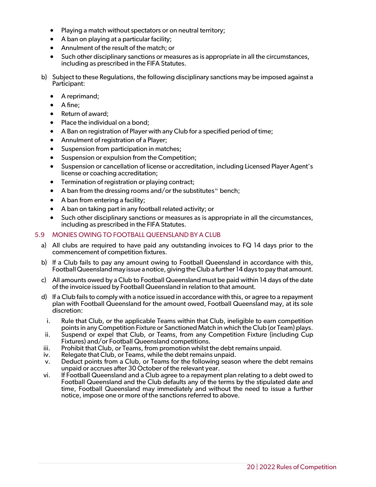- Playing a match without spectators or on neutral territory;
- A ban on playing at a particular facility;
- Annulment of the result of the match; or
- Such other disciplinary sanctions or measures as is appropriate in all the circumstances, including as prescribed in the FIFA Statutes.
- b) Subject to these Regulations, the following disciplinary sanctions may be imposed against a Participant:
	- A reprimand;
	- A fine;
	- Return of award;
	- Place the individual on a bond;
	- A Ban on registration of Player with any Club for a specified period of time;
	- Annulment of registration of a Player;
	- Suspension from participation in matches;
	- Suspension or expulsion from the Competition;
	- Suspension or cancellation of license or accreditation, including Licensed Player Agent's license or coaching accreditation;
	- Termination of registration or playing contract;
	- $\bullet$  A ban from the dressing rooms and/or the substitutes "bench;
	- A ban from entering a facility;
	- A ban on taking part in any football related activity; or
	- Such other disciplinary sanctions or measures as is appropriate in all the circumstances, including as prescribed in the FIFA Statutes.

## <span id="page-19-0"></span>5.9 MONIES OWING TO FOOTBALL QUEENSLAND BY A CLUB

- a) All clubs are required to have paid any outstanding invoices to FQ 14 days prior to the commencement of competition fixtures.
- b) If a Club fails to pay any amount owing to Football Queensland in accordance with this, Football Queensland may issue a notice, giving the Club a further 14 days to pay that amount.
- c) All amounts owed by a Club to Football Queensland must be paid within 14 days of the date of the invoice issued by Football Queensland in relation to that amount.
- d) If a Club fails to comply with a notice issued in accordance with this, or agree to a repayment plan with Football Queensland for the amount owed, Football Queensland may, at its sole discretion:
	- i. Rule that Club, or the applicable Teams within that Club, ineligible to earn competition
- points in any Competition Fixture or Sanctioned Match in which the Club (or Team) plays.<br>ii. Suspend or expel that Club, or Teams, from any Competition Fixture (including Cup<br>Fixtures) and/or Football Queensland competitio
- iii. Prohibit that Club, or Teams, from promotion whilst the debt remains unpaid.
- iv. Relegate that Club, or Teams, while the debt remains unpaid.
- v. Deduct points from a Club, or Teams for the following season where the debt remains unpaid or accrues after 30 October of the relevant year.
- vi. If Football Queensland and a Club agree to a repayment plan relating to a debt owed to Football Queensland and the Club defaults any of the terms by the stipulated date and time, Football Queensland may immediately and without the need to issue a further notice, impose one or more of the sanctions referred to above.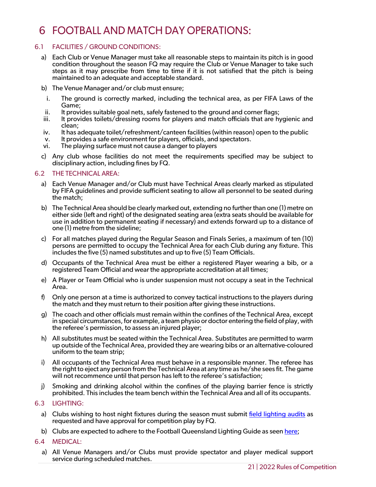# <span id="page-20-0"></span>6 FOOTBALL AND MATCH DAY OPERATIONS:

## 6.1 FACILITIES / GROUND CONDITIONS:

- <span id="page-20-1"></span>a) Each Club or Venue Manager must take all reasonable steps to maintain its pitch is in good condition throughout the season FQ may require the Club or Venue Manager to take such steps as it may prescribe from time to time if it is not satisfied that the pitch is being maintained to an adequate and acceptable standard.
- b) The Venue Manager and/or club must ensure;
- i. The ground is correctly marked, including the technical area, as per FIFA Laws of the Game;
- ii. It provides suitable goal nets, safely fastened to the ground and corner flags;
- iii. It provides toilets/dressing rooms for players and match officials that are hygienic and clean;
- iv. It has adequate toilet/refreshment/canteen facilities (within reason) open to the public
- v. It provides a safe environment for players, officials, and spectators.
- vi. The playing surface must not cause a danger to players
- c) Any club whose facilities do not meet the requirements specified may be subject to disciplinary action, including fines by FQ.

## <span id="page-20-2"></span>6.2 THE TECHNICAL AREA:

- a) Each Venue Manager and/or Club must have Technical Areas clearly marked as stipulated by FIFA guidelines and provide sufficient seating to allow all personnel to be seated during the match;
- b) The Technical Area should be clearly marked out, extending no further than one (1) metre on either side (left and right) of the designated seating area (extra seats should be available for use in addition to permanent seating if necessary) and extends forward up to a distance of one (1) metre from the sideline;
- c) For all matches played during the Regular Season and Finals Series, a maximum of ten (10) persons are permitted to occupy the Technical Area for each Club during any fixture. This includes the five (5) named substitutes and up to five (5) Team Officials.
- d) Occupants of the Technical Area must be either a registered Player wearing a bib, or a registered Team Official and wear the appropriate accreditation at all times;
- e) A Player or Team Official who is under suspension must not occupy a seat in the Technical Area.
- f) Only one person at a time is authorized to convey tactical instructions to the players during the match and they must return to their position after giving these instructions.
- g) The coach and other officials must remain within the confines of the Technical Area, except in special circumstances, for example, a team physio or doctor entering the field of play, with the referee's permission, to assess an injured player;
- h) All substitutes must be seated within the Technical Area. Substitutes are permitted to warm up outside of the Technical Area, provided they are wearing bibs or an alternative-coloured uniform to the team strip;
- i) All occupants of the Technical Area must behave in a responsible manner. The referee has the right to eject any person from the Technical Area at any time as he/she sees fit. The game will not recommence until that person has left to the referee's satisfaction;
- j) Smoking and drinking alcohol within the confines of the playing barrier fence is strictly prohibited. This includes the team bench within the Technical Area and all of its occupants.

## <span id="page-20-3"></span>6.3 LIGHTING:

- a) Clubs wishing to host night fixtures during the season must submit [field lighting audits](https://footballqueensland.com.au/wp-content/uploads/2021/11/FQ-Lighting-Audit-Form-2022.pdf) as requested and have approval for competition play by FQ.
- b) Clubs are expected to adhere to the Football Queensland Lighting Guide as see[n here;](https://footballqueensland.com.au/wp-content/uploads/2021/02/FQ-Infrastructure-Facility-Guides-Lighting-V3.pdf)
- <span id="page-20-4"></span>6.4 MEDICAL:
	- a) All Venue Managers and/or Clubs must provide spectator and player medical support service during scheduled matches.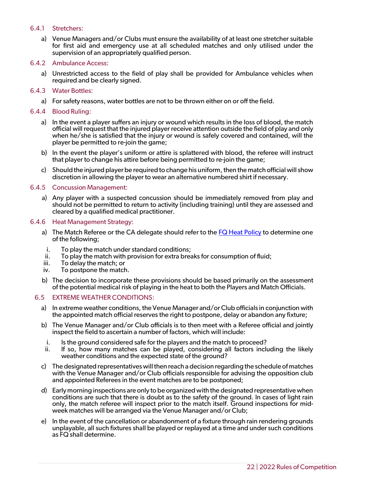## 6.4.1 Stretchers:

- <span id="page-21-0"></span>a) Venue Managers and/or Clubs must ensure the availability of at least one stretcher suitable for first aid and emergency use at all scheduled matches and only utilised under the supervision of an appropriately qualified person.
- <span id="page-21-1"></span>6.4.2 Ambulance Access:
	- a) Unrestricted access to the field of play shall be provided for Ambulance vehicles when required and be clearly signed.
- <span id="page-21-2"></span>6.4.3 Water Bottles:
	- a) For safety reasons, water bottles are not to be thrown either on or off the field.
- <span id="page-21-3"></span>6.4.4 Blood Ruling:
	- a) In the event a player suffers an injury or wound which results in the loss of blood, the match official will request that the injured player receive attention outside the field of play and only when he/she is satisfied that the injury or wound is safely covered and contained, will the player be permitted to re-join the game;
	- b) In the event the player's uniform or attire is splattered with blood, the referee will instruct that player to change his attire before being permitted to re-join the game;
	- c) Should the injured player be required to change his uniform, then the match official will show discretion in allowing the player to wear an alternative numbered shirt if necessary.

### <span id="page-21-4"></span>6.4.5 Concussion Management:

a) Any player with a suspected concussion should be immediately removed from play and should not be permitted to return to activity (including training) until they are assessed and cleared by a qualified medical practitioner.

#### <span id="page-21-5"></span>6.4.6 Heat Management Strategy:

- a) The Match Referee or the CA delegate should refer to the [FQ Heat Policy](https://footballqueensland.com.au/wp-content/uploads/2018/12/FQ-Heat-Policy-2021.pdf) to determine one of the following;
- i. To play the match under standard conditions;
- ii. To play the match with provision for extra breaks for consumption of fluid;<br>iii. To delay the match: or
- To delay the match; or
- iv. To postpone the match.
- b) The decision to incorporate these provisions should be based primarily on the assessment of the potential medical risk of playing in the heat to both the Players and Match Officials.

#### <span id="page-21-6"></span>6.5 EXTREME WEATHER CONDITIONS:

- a) In extreme weather conditions, the Venue Manager and/or Club officials in conjunction with the appointed match official reserves the right to postpone, delay or abandon any fixture;
- b) The Venue Manager and/or Club officials is to then meet with a Referee official and jointly inspect the field to ascertain a number of factors, which will include:
	- i. Is the ground considered safe for the players and the match to proceed?
- ii. If so, how many matches can be played, considering all factors including the likely weather conditions and the expected state of the ground?
- c) The designated representatives will then reach a decision regarding the schedule of matches with the Venue Manager and/or Club officials responsible for advising the opposition club and appointed Referees in the event matches are to be postponed;
- d) Early morning inspections are only to be organized with the designated representative when conditions are such that there is doubt as to the safety of the ground. In cases of light rain only, the match referee will inspect prior to the match itself. Ground inspections for midweek matches will be arranged via the Venue Manager and/or Club;
- e) In the event of the cancellation or abandonment of a fixture through rain rendering grounds unplayable, all such fixtures shall be played or replayed at a time and under such conditions as FQ shall determine.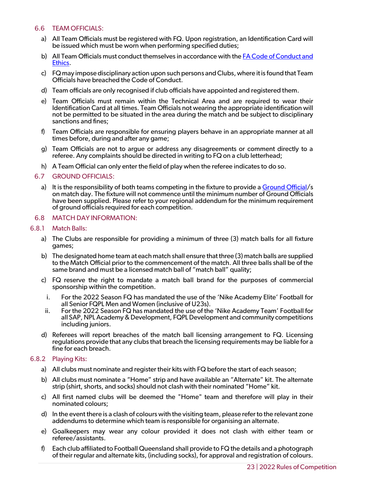## <span id="page-22-0"></span>6.6 TEAM OFFICIALS:

- a) All Team Officials must be registered with FQ. Upon registration, an Identification Card will be issued which must be worn when performing specified duties;
- b) All Team Officials must conduct themselves in accordance with the [FA Code of Conduct and](https://www.footballaustralia.com.au/sites/ffa/files/2021-04/FA%20Code%20of%20Conduct%20and%20Ethics%20%282021%29.pdf)  [Ethics.](https://www.footballaustralia.com.au/sites/ffa/files/2021-04/FA%20Code%20of%20Conduct%20and%20Ethics%20%282021%29.pdf)
- c) FQ may impose disciplinary action upon such persons and Clubs, where it is found that Team Officials have breached the Code of Conduct.
- d) Team officials are only recognised if club officials have appointed and registered them.
- e) Team Officials must remain within the Technical Area and are required to wear their Identification Card at all times. Team Officials not wearing the appropriate identification will not be permitted to be situated in the area during the match and be subject to disciplinary sanctions and fines;
- f) Team Officials are responsible for ensuring players behave in an appropriate manner at all times before, during and after any game;
- g) Team Officials are not to argue or address any disagreements or comment directly to a referee. Any complaints should be directed in writing to FQ on a club letterhead;
- h) A Team Official can only enter the field of play when the referee indicates to do so.

### <span id="page-22-1"></span>6.7 GROUND OFFICIALS:

a) It is the responsibility of both teams competing in the fixture to provide a [Ground Official/](https://footballqueensland.com.au/wp-content/uploads/2021/01/FQ-Roles-Responsibilities-of-a-Ground-Official-2021.pdf)s on match day. The fixture will not commence until the minimum number of Ground Officials have been supplied. Please refer to your regional addendum for the minimum requirement of ground officials required for each competition.

### <span id="page-22-2"></span>6.8 MATCH DAY INFORMATION:

### 6.8.1 Match Balls:

- <span id="page-22-3"></span>a) The Clubs are responsible for providing a minimum of three (3) match balls for all fixture games;
- b) The designated home team at each match shall ensure that three (3) match balls are supplied to the Match Official prior to the commencement of the match. All three balls shall be of the same brand and must be a licensed match ball of "match ball" quality;
- c) FQ reserve the right to mandate a match ball brand for the purposes of commercial sponsorship within the competition.
- i. For the 2022 Season FQ has mandated the use of the 'Nike Academy Elite' Football for all Senior FQPL Men and Women (inclusive of U23s).
- ii. For the 2022 Season FQ has mandated the use of the 'Nike Academy Team' Football for all SAP, NPL Academy & Development, FQPL Development and community competitions including juniors.
- d) Referees will report breaches of the match ball licensing arrangement to FQ. Licensing regulations provide that any clubs that breach the licensing requirements may be liable for a fine for each breach.

#### <span id="page-22-4"></span>6.8.2 Playing Kits:

- a) All clubs must nominate and register their kits with FQ before the start of each season;
- b) All clubs must nominate a "Home" strip and have available an "Alternate" kit. The alternate strip (shirt, shorts, and socks) should not clash with their nominated "Home" kit.
- c) All first named clubs will be deemed the "Home" team and therefore will play in their nominated colours;
- d) In the event there is a clash of colours with the visiting team, please refer to the relevant zone addendums to determine which team is responsible for organising an alternate.
- e) Goalkeepers may wear any colour provided it does not clash with either team or referee/assistants.
- f) Each club affiliated to Football Queensland shall provide to FQ the details and a photograph of their regular and alternate kits, (including socks), for approval and registration of colours.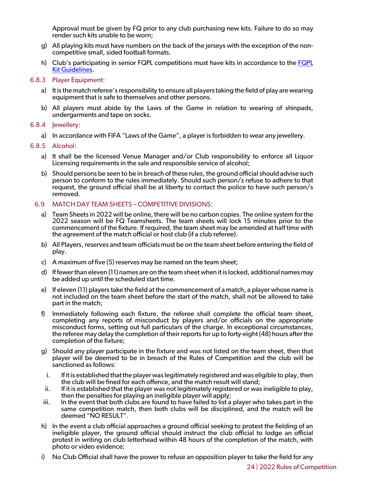Approval must be given by FQ prior to any club purchasing new kits. Failure to do so may render such kits unable to be worn;

- g) All playing kits must have numbers on the back of the jerseys with the exception of the non- competitive small, sided football formats.
- h) Club's participating in senior FQPL competitions must have kits in accordance to the [FQPL](https://footballqueensland.com.au/wp-content/uploads/2021/11/FQ-On-field-Kit-Guidelines-2022.pdf)  [Kit Guidelines.](https://footballqueensland.com.au/wp-content/uploads/2021/11/FQ-On-field-Kit-Guidelines-2022.pdf)

## <span id="page-23-0"></span>6.8.3 Player Equipment:

- a) It is the match referee's responsibility to ensure all players taking the field of play are wearing equipment that is safe to themselves and other persons.
- b) All players must abide by the Laws of the Game in relation to wearing of shinpads, undergarments and tape on socks.

## <span id="page-23-1"></span>6.8.4 Jewellery:

a) In accordance with FIFA "Laws of the Game", a player is forbidden to wear any jewellery.

### <span id="page-23-2"></span>6.8.5 Alcohol:

- a) It shall be the licensed Venue Manager and/or Club responsibility to enforce all Liquor Licensing requirements in the sale and responsible service of alcohol;
- b) Should persons be seen to be in breach of these rules, the ground official should advise such person to conform to the rules immediately. Should such person/s refuse to adhere to that request, the ground official shall be at liberty to contact the police to have such person/s removed.

## <span id="page-23-3"></span>6.9 MATCH DAY TEAM SHEETS – COMPETITIVE DIVISIONS:

- a) Team Sheets in 2022 will be online, there will be no carbon copies. The online system for the 2022 season will be FQ Teamsheets. The team sheets will lock 15 minutes prior to the commencement of the fixture. If required, the team sheet may be amended at half time with the agreement of the match official or host club (if a club referee).
- b) All Players, reserves and team officials must be on the team sheet before entering the field of play.
- c) A maximum of five (5) reserves may be named on the team sheet;
- d) If fewer than eleven (11) names are on the team sheet when it is locked, additional names may be added up until the scheduled start time.
- e) If eleven (11) players take the field at the commencement of a match, a player whose name is not included on the team sheet before the start of the match, shall not be allowed to take part in the match;
- f) Immediately following each fixture, the referee shall complete the official team sheet, completing any reports of misconduct by players and/or officials on the appropriate misconduct forms, setting out full particulars of the charge. In exceptional circumstances, the referee may delay the completion of their reports for up to forty-eight (48) hours after the completion of the fixture;
- g) Should any player participate in the fixture and was not listed on the team sheet, then that player will be deemed to be in breach of the Rules of Competition and the club will be sanctioned as follows:
- i. If it is established that the player was legitimately registered and was eligible to play, then the club will be fined for each offence, and the match result will stand;
- ii. If it is established that the player was not legitimately registered or was ineligible to play, then the penalties for playing an ineligible player will apply;
- iii. In the event that both clubs are found to have failed to list a player who takes part in the same competition match, then both clubs will be disciplined, and the match will be deemed "NO RESULT".
- h) In the event a club official approaches a ground official seeking to protest the fielding of an ineligible player, the ground official should instruct the club official to lodge an official protest in writing on club letterhead within 48 hours of the completion of the match, with photo or video evidence;
- i) No Club Official shall have the power to refuse an opposition player to take the field for any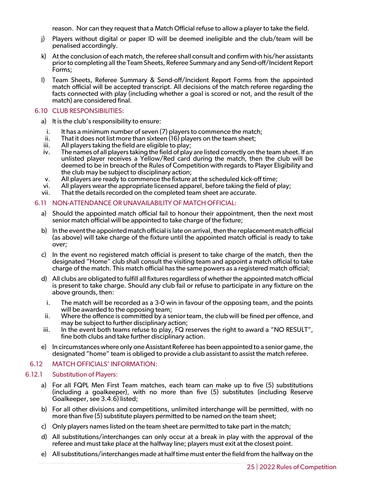reason. Nor can they request that a Match Official refuse to allow a player to take the field.

- j) Players without digital or paper ID will be deemed ineligible and the club/team will be penalised accordingly.
- k) At the conclusion of each match, the referee shall consult and confirm with his/her assistants prior to completing all the Team Sheets, Referee Summary and any Send-off/Incident Report Forms;
- l) Team Sheets, Referee Summary & Send-off/Incident Report Forms from the appointed match official will be accepted transcript. All decisions of the match referee regarding the facts connected with play (including whether a goal is scored or not, and the result of the match) are considered final.

### <span id="page-24-0"></span>6.10 CLUB RESPONSIBILITIES:

- a) It is the club's responsibility to ensure:
- i. It has a minimum number of seven (7) players to commence the match;<br>ii. That it does not list more than sixteen (16) players on the team sheet:
- ii. That it does not list more than sixteen  $(16)$  players on the team sheet;<br>iii. All players taking the field are eligible to play;
- All players taking the field are eligible to play;
- iv. The names of all players taking the field of play are listed correctly on the team sheet. If an unlisted player receives a Yellow/Red card during the match, then the club will be deemed to be in breach of the Rules of Competition with regards to Player Eligibility and the club may be subject to disciplinary action;
- v. All players are ready to commence the fixture at the scheduled kick-off time;
- vi. All players wear the appropriate licensed apparel, before taking the field of play;
- vii. That the details recorded on the completed team sheet are accurate.

### <span id="page-24-1"></span>6.11 NON-ATTENDANCE OR UNAVAILABILITY OF MATCH OFFICIAL:

- a) Should the appointed match official fail to honour their appointment, then the next most senior match official will be appointed to take charge of the fixture;
- b) In the event the appointed match official is late on arrival, then the replacement match official (as above) will take charge of the fixture until the appointed match official is ready to take over;
- c) In the event no registered match official is present to take charge of the match, then the designated "Home" club shall consult the visiting team and appoint a match official to take charge of the match. This match official has the same powers as a registered match official;
- d) All clubs are obligated to fulfill all fixtures regardless of whether the appointed match official is present to take charge. Should any club fail or refuse to participate in any fixture on the above grounds, then:
	- i. The match will be recorded as a 3-0 win in favour of the opposing team, and the points will be awarded to the opposing team;
- ii. Where the offence is committed by a senior team, the club will be fined per offence, and may be subject to further disciplinary action;
- iii. In the event both teams refuse to play, FQ reserves the right to award a "NO RESULT", fine both clubs and take further disciplinary action.
- e) In circumstances where only one Assistant Referee has been appointed to a senior game, the designated "home" team is obliged to provide a club assistant to assist the match referee.

## <span id="page-24-2"></span>6.12 MATCH OFFICIALS' INFORMATION:

#### 6.12.1 Substitution of Players:

- <span id="page-24-3"></span>a) For all FQPL Men First Team matches, each team can make up to five (5) substitutions (including a goalkeeper), with no more than five (5) substitutes (including Reserve Goalkeeper, see 3.4.6) listed;
- b) For all other divisions and competitions, unlimited interchange will be permitted, with no more than five (5) substitute players permitted to be named on the team sheet;
- c) Only players names listed on the team sheet are permitted to take part in the match;
- d) All substitutions/interchanges can only occur at a break in play with the approval of the referee and must take place at the halfway line; players must exit at the closest point.
- e) All substitutions/interchanges made at half time must enter the field from the halfway on the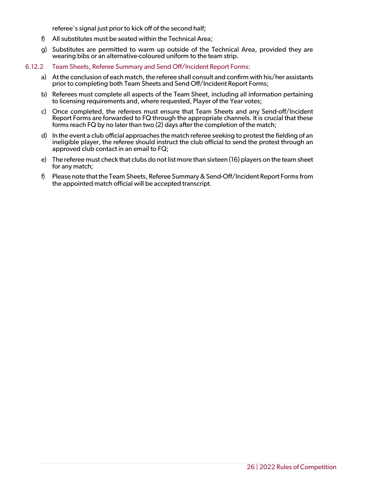referee's signal just prior to kick off of the second half;

- f) All substitutes must be seated within the Technical Area;
- g) Substitutes are permitted to warm up outside of the Technical Area, provided they are wearing bibs or an alternative-coloured uniform to the team strip.
- <span id="page-25-0"></span>6.12.2 Team Sheets, Referee Summary and Send Off/Incident Report Forms:
	- a) At the conclusion of each match, the referee shall consult and confirm with his/her assistants prior to completing both Team Sheets and Send Off/Incident Report Forms;
	- b) Referees must complete all aspects of the Team Sheet, including all information pertaining to licensing requirements and, where requested, Player of the Year votes;
	- c) Once completed, the referees must ensure that Team Sheets and any Send-off/Incident Report Forms are forwarded to FQ through the appropriate channels. It is crucial that these forms reach FQ by no later than two (2) days after the completion of the match;
	- d) In the event a club official approaches the match referee seeking to protest the fielding of an ineligible player, the referee should instruct the club official to send the protest through an approved club contact in an email to FQ;
	- e) The referee must check that clubs do not list more than sixteen (16) players on the team sheet for any match;
	- f) Please note that the Team Sheets, Referee Summary & Send-Off/Incident Report Forms from the appointed match official will be accepted transcript.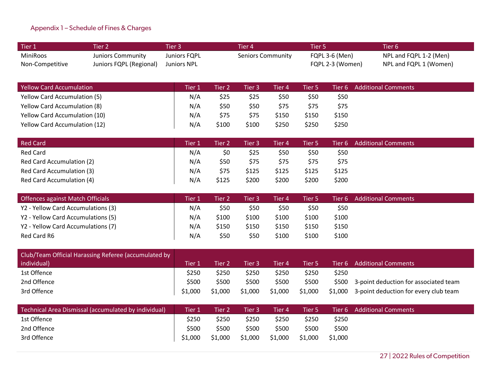## Appendix 1 – Schedule of Fines & Charges

| Tier 1          | Fier 2                   | Tier 3'      | Tier 4'           | Tier 5           | Tier 6                 |
|-----------------|--------------------------|--------------|-------------------|------------------|------------------------|
| MiniRoos        | <b>Juniors Community</b> | Juniors FQPL | Seniors Community | FQPL 3-6 (Men)   | NPL and FQPL 1-2 (Men) |
| Non-Competitive | Juniors FQPL (Regional)  | Juniors NPL  |                   | FQPL 2-3 (Women) | NPL and FQPL 1 (Women) |

| Yellow Card Accumulation             | Tier 1 | Tier 2 | Tier 3 | Tier 4 | Tier 5 |       | Tier 6 Additional Comments |
|--------------------------------------|--------|--------|--------|--------|--------|-------|----------------------------|
| <b>Yellow Card Accumulation (5)</b>  | N/A    | \$25   | \$25   | \$50   | \$50   | \$50  |                            |
| <b>Yellow Card Accumulation (8)</b>  | N/A    | \$50   | \$50   | \$75   | \$75   | \$75  |                            |
| <b>Yellow Card Accumulation (10)</b> | N/A    | \$75   | \$75   | \$150  | \$150  | \$150 |                            |
| <b>Yellow Card Accumulation (12)</b> | N/A    | \$100  | \$100  | \$250  | \$250  | \$250 |                            |

<span id="page-26-0"></span>

| Red Card                  | Tier 1 | Tier 2' | Tier 3 | Tier 4 | Tier 5 |       | Tier 6 Additional Comments |
|---------------------------|--------|---------|--------|--------|--------|-------|----------------------------|
| Red Card                  | N/A    | \$0     | \$25   | \$50   | \$50   | \$50  |                            |
| Red Card Accumulation (2) | N/A    | \$50    | \$75   | \$75   | \$75   | \$75  |                            |
| Red Card Accumulation (3) | N/A    | \$75    | \$125  | \$125  | \$125  | \$125 |                            |
| Red Card Accumulation (4) | N/A    | \$125   | \$200  | \$200  | \$200  | \$200 |                            |

| Offences against Match Officials   | <b>Tier</b> | Tier 2' | Tier 3 | Tier 4' | Tier 5 |       | Tier 6 Additional Comments |
|------------------------------------|-------------|---------|--------|---------|--------|-------|----------------------------|
| Y2 - Yellow Card Accumulations (3) | N/A         | \$50    | \$50   | \$50    | \$50   | \$50  |                            |
| Y2 - Yellow Card Accumulations (5) | N/A         | \$100   | \$100  | \$100   | \$100  | \$100 |                            |
| Y2 - Yellow Card Accumulations (7) | N/A         | \$150   | \$150  | \$150   | \$150  | \$150 |                            |
| Red Card R6                        | N/A         | \$50    | \$50   | \$100   | \$100  | \$100 |                            |

| Club/Team Official Harassing Referee (accumulated by |         |         |         |         |         |       |                                                |
|------------------------------------------------------|---------|---------|---------|---------|---------|-------|------------------------------------------------|
| individual)                                          | Tier 1  | Fier 2  | Tier 3  | Tier 4' | Tier 5  |       | Tier 6 Additional Comments                     |
| 1st Offence                                          | \$250   | \$250   | \$250   | \$250   | \$250   | \$250 |                                                |
| 2nd Offence                                          | \$500   | \$500   | \$500   | \$500   | \$500   |       | \$500 3-point deduction for associated team    |
| 3rd Offence                                          | \$1,000 | \$1,000 | \$1,000 | \$1,000 | \$1,000 |       | $$1,000$ 3-point deduction for every club team |

| Technical Area Dismissal (accumulated by individual) | <b>Tier 1</b> | Tier 2  | Tier 3  | Tier 4' | Tier 5' |         | Tier 6 Additional Comments |
|------------------------------------------------------|---------------|---------|---------|---------|---------|---------|----------------------------|
| 1st Offence                                          | \$250         | \$250   | \$250   | \$250   | \$250   | \$250   |                            |
| 2nd Offence                                          | \$500         | \$500   | \$500   | \$500   | \$500   | \$500   |                            |
| 3rd Offence                                          | \$1,000       | \$1,000 | \$1,000 | \$1,000 | \$1,000 | \$1,000 |                            |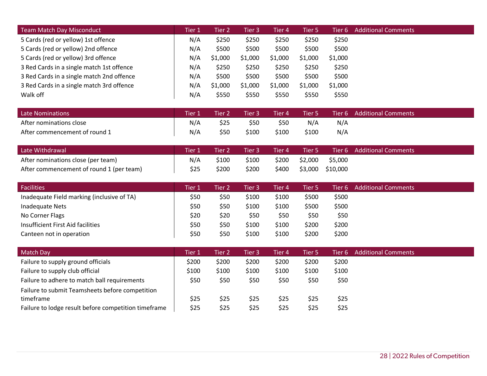| <b>Team Match Day Misconduct</b>          | Tier 1 | Tier 2  | Tier 3  | Tier 4  | Tier 5  |         | Tier 6 Additional Comments |
|-------------------------------------------|--------|---------|---------|---------|---------|---------|----------------------------|
| 5 Cards (red or yellow) 1st offence       | N/A    | \$250   | \$250   | \$250   | \$250   | \$250   |                            |
| 5 Cards (red or yellow) 2nd offence       | N/A    | \$500   | \$500   | \$500   | \$500   | \$500   |                            |
| 5 Cards (red or yellow) 3rd offence       | N/A    | \$1,000 | \$1,000 | \$1,000 | \$1,000 | \$1,000 |                            |
| 3 Red Cards in a single match 1st offence | N/A    | \$250   | \$250   | \$250   | \$250   | \$250   |                            |
| 3 Red Cards in a single match 2nd offence | N/A    | \$500   | \$500   | \$500   | \$500   | \$500   |                            |
| 3 Red Cards in a single match 3rd offence | N/A    | \$1,000 | \$1,000 | \$1,000 | \$1,000 | \$1,000 |                            |
| Walk off                                  | N/A    | \$550   | \$550   | \$550   | \$550   | \$550   |                            |

| <b>Late Nominations</b>       | $T$ ier 1 | Tier 2 | Tier 3 | Tier 4' | Tier 5 |     | Tier 6 Additional Comments |
|-------------------------------|-----------|--------|--------|---------|--------|-----|----------------------------|
| After nominations close       | N/A       | \$25   | \$50   | \$50    | N/A    | N/A |                            |
| After commencement of round 1 | N/A       | \$50   | \$100  | \$100   | \$100  | N/A |                            |

| Late Withdrawal                          | Tier 1 | Tier 2 | Tier 3 | Tier 4 | Tier 5  |          | Tier 6 Additional Comments |
|------------------------------------------|--------|--------|--------|--------|---------|----------|----------------------------|
| After nominations close (per team)       | N/A    | \$100  | \$100  | \$200  | \$2,000 | \$5,000  |                            |
| After commencement of round 1 (per team) | \$25   | \$200  | \$200  | \$400  | \$3,000 | \$10,000 |                            |

| <b>Facilities</b>                          | Fier 1 | Tier 2' | Tier 3 | Tier 4 | Tier 5 | Tier 6 | <b>Additional Comments</b> |
|--------------------------------------------|--------|---------|--------|--------|--------|--------|----------------------------|
| Inadequate Field marking (inclusive of TA) | \$50   | \$50    | \$100  | \$100  | \$500  | \$500  |                            |
| Inadequate Nets                            | \$50   | \$50    | \$100  | \$100  | \$500  | \$500  |                            |
| No Corner Flags                            | \$20   | \$20    | \$50   | \$50   | \$50   | \$50   |                            |
| Insufficient First Aid facilities          | \$50   | \$50    | \$100  | \$100  | \$200  | \$200  |                            |
| Canteen not in operation                   | \$50   | \$50    | \$100  | \$100  | \$200  | \$200  |                            |

| Match Day                                            | Tier 1 | Tier 2 | Tier 3 | Tier 4 | Tier 5 | Tier 6 - | <b>Additional Comments</b> |
|------------------------------------------------------|--------|--------|--------|--------|--------|----------|----------------------------|
| Failure to supply ground officials                   | \$200  | \$200  | \$200  | \$200  | \$200  | \$200    |                            |
| Failure to supply club official                      | \$100  | \$100  | \$100  | \$100  | \$100  | \$100    |                            |
| Failure to adhere to match ball requirements         | \$50   | \$50   | \$50   | \$50   | \$50   | \$50     |                            |
| Failure to submit Teamsheets before competition      |        |        |        |        |        |          |                            |
| timeframe                                            | \$25   | \$25   | \$25   | \$25   | \$25   | \$25     |                            |
| Failure to lodge result before competition timeframe | \$25   | \$25   | \$25   | \$25   | \$25   | \$25     |                            |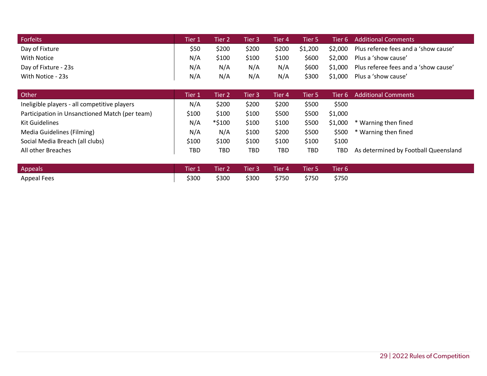| Forfeits             | Tier 1 | Fier 2 | Tier 3 | Tier 4 | Tier 5  |         | Tier 6 Additional Comments                   |
|----------------------|--------|--------|--------|--------|---------|---------|----------------------------------------------|
| Day of Fixture       | \$50   | \$200  | \$200  | \$200  | \$1,200 |         | \$2,000 Plus referee fees and a 'show cause' |
| With Notice          | N/A    | \$100  | \$100  | \$100  | \$600   | \$2,000 | Plus a 'show cause'                          |
| Day of Fixture - 23s | N/A    | N/A    | N/A    | N/A    | \$600   | \$1,000 | Plus referee fees and a 'show cause'         |
| With Notice - 23s    | N/A    | N/A    | N/A    | N/A    | \$300   | \$1,000 | Plus a 'show cause'                          |

| Other                                          | Tier 1 | Fier 2 | Tier 3 | Tier 4 | Tier 5 | Tier 6 - | <b>Additional Comments</b>           |
|------------------------------------------------|--------|--------|--------|--------|--------|----------|--------------------------------------|
| Ineligible players - all competitive players   | N/A    | \$200  | \$200  | \$200  | \$500  | \$500    |                                      |
| Participation in Unsanctioned Match (per team) | \$100  | \$100  | \$100  | \$500  | \$500  | \$1,000  |                                      |
| Kit Guidelines                                 | N/A    | *\$100 | \$100  | \$100  | \$500  | \$1,000  | * Warning then fined                 |
| Media Guidelines (Filming)                     | N/A    | N/A    | \$100  | \$200  | \$500  | \$500    | * Warning then fined                 |
| Social Media Breach (all clubs)                | \$100  | \$100  | \$100  | \$100  | \$100  | \$100    |                                      |
| All other Breaches                             | TBD    | TBD    | TBD    | TBD    | TBD    | TBD      | As determined by Football Queensland |

| Appeals     | Tier 1 Tier 2 Tier 3 Tier 4 |       |             | Tier 5 | Tier <sub>6</sub> |  |
|-------------|-----------------------------|-------|-------------|--------|-------------------|--|
| Appeal Fees | \$300                       | \$300 | \$300 \$750 | \$750  | \$750             |  |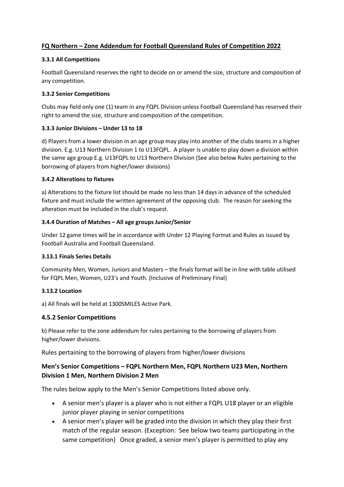## **FQ Northern – Zone Addendum for Football Queensland Rules of Competition 2022**

## **3.3.1 All Competitions**

Football Queensland reserves the right to decide on or amend the size, structure and composition of any competition.

## **3.3.2 Senior Competitions**

Clubs may field only one (1) team in any FQPL Division unless Football Queensland has reserved their right to amend the size, structure and composition of the competition.

## **3.3.3 Junior Divisions – Under 13 to 18**

d) Players from a lower division in an age group may play into another of the clubs teams in a higher division. E.g. U13 Northern Division 1 to U13FQPL. A player is unable to play down a division within the same age group E.g. U13FQPL to U13 Northern Division (See also below Rules pertaining to the borrowing of players from higher/lower divisions)

## **3.4.2 Alterations to fixtures**

a) Alterations to the fixture list should be made no less than 14 days in advance of the scheduled fixture and must include the written agreement of the opposing club. The reason for seeking the alteration must be included in the club's request.

## **3.4.4 Duration of Matches – All age groups Junior/Senior**

Under 12 game times will be in accordance with Under 12 Playing Format and Rules as issued by Football Australia and Football Queensland.

## **3.13.1 Finals Series Details**

Community Men, Women, Juniors and Masters – the finals format will be in line with table utilised for FQPL Men, Women, U23's and Youth. (Inclusive of Preliminary Final)

## **3.13.2 Location**

a) All finals will be held at 1300SMILES Active Park.

## **4.5.2 Senior Competitions**

b) Please refer to the zone addendum for rules pertaining to the borrowing of players from higher/lower divisions.

Rules pertaining to the borrowing of players from higher/lower divisions

## **Men's Senior Competitions – FQPL Northern Men, FQPL Northern U23 Men, Northern Division 1 Men, Northern Division 2 Men**

The rules below apply to the Men's Senior Competitions listed above only.

- A senior men's player is a player who is not either a FQPL U18 player or an eligible junior player playing in senior competitions
- A senior men's player will be graded into the division in which they play their first match of the regular season. (Exception: See below two teams participating in the same competition) Once graded, a senior men's player is permitted to play any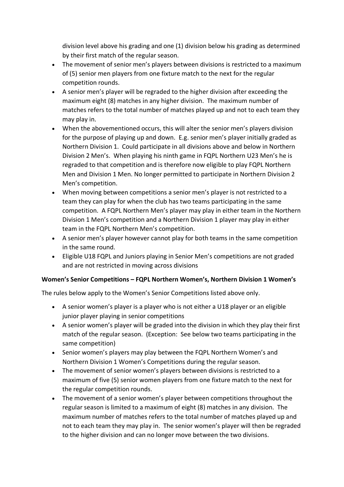division level above his grading and one (1) division below his grading as determined by their first match of the regular season.

- The movement of senior men's players between divisions is restricted to a maximum of (5) senior men players from one fixture match to the next for the regular competition rounds.
- A senior men's player will be regraded to the higher division after exceeding the maximum eight (8) matches in any higher division. The maximum number of matches refers to the total number of matches played up and not to each team they may play in.
- When the abovementioned occurs, this will alter the senior men's players division for the purpose of playing up and down. E.g. senior men's player initially graded as Northern Division 1. Could participate in all divisions above and below in Northern Division 2 Men's. When playing his ninth game in FQPL Northern U23 Men's he is regraded to that competition and is therefore now eligible to play FQPL Northern Men and Division 1 Men. No longer permitted to participate in Northern Division 2 Men's competition.
- When moving between competitions a senior men's player is not restricted to a team they can play for when the club has two teams participating in the same competition. A FQPL Northern Men's player may play in either team in the Northern Division 1 Men's competition and a Northern Division 1 player may play in either team in the FQPL Northern Men's competition.
- A senior men's player however cannot play for both teams in the same competition in the same round.
- Eligible U18 FQPL and Juniors playing in Senior Men's competitions are not graded and are not restricted in moving across divisions

## **Women's Senior Competitions – FQPL Northern Women's, Northern Division 1 Women's**

The rules below apply to the Women's Senior Competitions listed above only.

- A senior women's player is a player who is not either a U18 player or an eligible junior player playing in senior competitions
- A senior women's player will be graded into the division in which they play their first match of the regular season. (Exception: See below two teams participating in the same competition)
- Senior women's players may play between the FQPL Northern Women's and Northern Division 1 Women's Competitions during the regular season.
- The movement of senior women's players between divisions is restricted to a maximum of five (5) senior women players from one fixture match to the next for the regular competition rounds.
- The movement of a senior women's player between competitions throughout the regular season is limited to a maximum of eight (8) matches in any division. The maximum number of matches refers to the total number of matches played up and not to each team they may play in. The senior women's player will then be regraded to the higher division and can no longer move between the two divisions.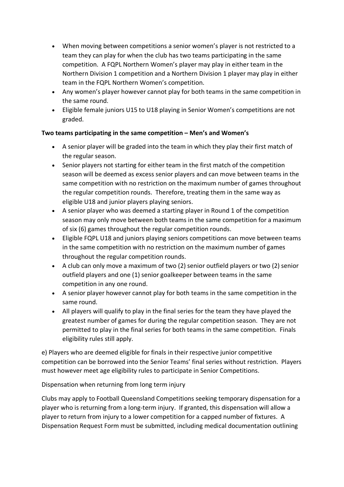- When moving between competitions a senior women's player is not restricted to a team they can play for when the club has two teams participating in the same competition. A FQPL Northern Women's player may play in either team in the Northern Division 1 competition and a Northern Division 1 player may play in either team in the FQPL Northern Women's competition.
- Any women's player however cannot play for both teams in the same competition in the same round.
- Eligible female juniors U15 to U18 playing in Senior Women's competitions are not graded.

## **Two teams participating in the same competition – Men's and Women's**

- A senior player will be graded into the team in which they play their first match of the regular season.
- Senior players not starting for either team in the first match of the competition season will be deemed as excess senior players and can move between teams in the same competition with no restriction on the maximum number of games throughout the regular competition rounds. Therefore, treating them in the same way as eligible U18 and junior players playing seniors.
- A senior player who was deemed a starting player in Round 1 of the competition season may only move between both teams in the same competition for a maximum of six (6) games throughout the regular competition rounds.
- Eligible FQPL U18 and juniors playing seniors competitions can move between teams in the same competition with no restriction on the maximum number of games throughout the regular competition rounds.
- A club can only move a maximum of two (2) senior outfield players or two (2) senior outfield players and one (1) senior goalkeeper between teams in the same competition in any one round.
- A senior player however cannot play for both teams in the same competition in the same round.
- All players will qualify to play in the final series for the team they have played the greatest number of games for during the regular competition season. They are not permitted to play in the final series for both teams in the same competition. Finals eligibility rules still apply.

e) Players who are deemed eligible for finals in their respective junior competitive competition can be borrowed into the Senior Teams' final series without restriction. Players must however meet age eligibility rules to participate in Senior Competitions.

Dispensation when returning from long term injury

Clubs may apply to Football Queensland Competitions seeking temporary dispensation for a player who is returning from a long-term injury. If granted, this dispensation will allow a player to return from injury to a lower competition for a capped number of fixtures. A Dispensation Request Form must be submitted, including medical documentation outlining